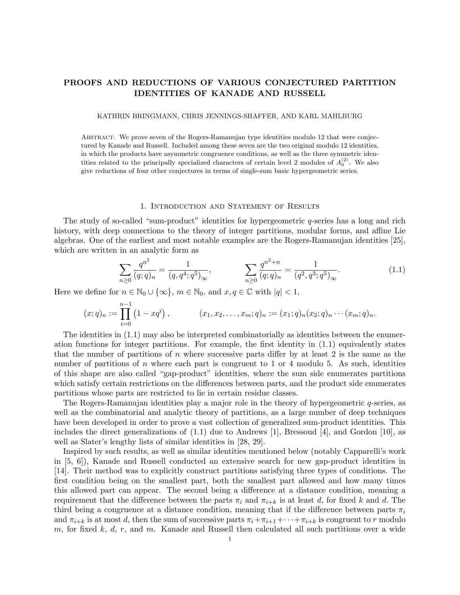# PROOFS AND REDUCTIONS OF VARIOUS CONJECTURED PARTITION IDENTITIES OF KANADE AND RUSSELL

#### KATHRIN BRINGMANN, CHRIS JENNINGS-SHAFFER, AND KARL MAHLBURG

Abstract. We prove seven of the Rogers-Ramanujan type identities modulo 12 that were conjectured by Kanade and Russell. Included among these seven are the two original modulo 12 identities, in which the products have asymmetric congruence conditions, as well as the three symmetric identities related to the principally specialized characters of certain level 2 modules of  $A_9^{(2)}$ . We also give reductions of four other conjectures in terms of single-sum basic hypergeometric series.

### 1. Introduction and Statement of Results

The study of so-called "sum-product" identities for hypergeometric  $q$ -series has a long and rich history, with deep connections to the theory of integer partitions, modular forms, and affine Lie algebras. One of the earliest and most notable examples are the Rogers-Ramanujan identities [25], which are written in an analytic form as

$$
\sum_{n\geq 0} \frac{q^{n^2}}{(q;q)_n} = \frac{1}{(q,q^4;q^5)_{\infty}}, \qquad \sum_{n\geq 0} \frac{q^{n^2+n}}{(q;q)_n} = \frac{1}{(q^2,q^3;q^5)_{\infty}}.
$$
(1.1)

Here we define for  $n \in \mathbb{N}_0 \cup \{\infty\}$ ,  $m \in \mathbb{N}_0$ , and  $x, q \in \mathbb{C}$  with  $|q| < 1$ ,

$$
(x;q)_n := \prod_{i=0}^{n-1} (1-xq^i), \qquad (x_1,x_2,\ldots,x_m;q)_n := (x_1;q)_n(x_2;q)_n\cdots(x_m;q)_n.
$$

The identities in (1.1) may also be interpreted combinatorially as identities between the enumeration functions for integer partitions. For example, the first identity in (1.1) equivalently states that the number of partitions of  $n$  where successive parts differ by at least 2 is the same as the number of partitions of n where each part is congruent to 1 or 4 modulo 5. As such, identities of this shape are also called "gap-product" identities, where the sum side enumerates partitions which satisfy certain restrictions on the differences between parts, and the product side enumerates partitions whose parts are restricted to lie in certain residue classes.

The Rogers-Ramanujan identities play a major role in the theory of hypergeometric  $q$ -series, as well as the combinatorial and analytic theory of partitions, as a large number of deep techniques have been developed in order to prove a vast collection of generalized sum-product identities. This includes the direct generalizations of (1.1) due to Andrews [1], Bressoud [4], and Gordon [10], as well as Slater's lengthy lists of similar identities in [28, 29].

Inspired by such results, as well as similar identities mentioned below (notably Capparelli's work in [5, 6]), Kanade and Russell conducted an extensive search for new gap-product identities in [14]. Their method was to explicitly construct partitions satisfying three types of conditions. The first condition being on the smallest part, both the smallest part allowed and how many times this allowed part can appear. The second being a difference at a distance condition, meaning a requirement that the difference between the parts  $\pi_i$  and  $\pi_{i+k}$  is at least d, for fixed k and d. The third being a congruence at a distance condition, meaning that if the difference between parts  $\pi_i$ and  $\pi_{i+k}$  is at most d, then the sum of successive parts  $\pi_i+\pi_{i+1}+\cdots+\pi_{i+k}$  is congruent to r modulo m, for fixed k, d, r, and m. Kanade and Russell then calculated all such partitions over a wide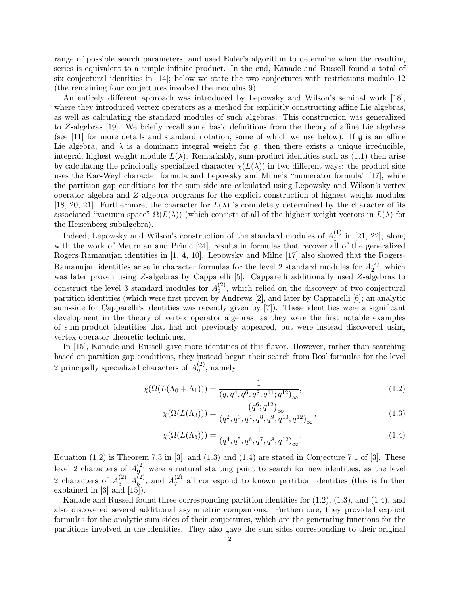range of possible search parameters, and used Euler's algorithm to determine when the resulting series is equivalent to a simple infinite product. In the end, Kanade and Russell found a total of six conjectural identities in [14]; below we state the two conjectures with restrictions modulo 12 (the remaining four conjectures involved the modulus 9).

An entirely different approach was introduced by Lepowsky and Wilson's seminal work [18], where they introduced vertex operators as a method for explicitly constructing affine Lie algebras, as well as calculating the standard modules of such algebras. This construction was generalized to Z-algebras [19]. We briefly recall some basic definitions from the theory of affine Lie algebras (see [11] for more details and standard notation, some of which we use below). If  $\mathfrak{g}$  is an affine Lie algebra, and  $\lambda$  is a dominant integral weight for  $\mathfrak{g}$ , then there exists a unique irreducible, integral, highest weight module  $L(\lambda)$ . Remarkably, sum-product identities such as (1.1) then arise by calculating the principally specialized character  $\chi(L(\lambda))$  in two different ways: the product side uses the Kac-Weyl character formula and Lepowsky and Milne's "numerator formula" [17], while the partition gap conditions for the sum side are calculated using Lepowsky and Wilson's vertex operator algebra and Z-algebra programs for the explicit construction of highest weight modules [18, 20, 21]. Furthermore, the character for  $L(\lambda)$  is completely determined by the character of its associated "vacuum space"  $\Omega(L(\lambda))$  (which consists of all of the highest weight vectors in  $L(\lambda)$  for the Heisenberg subalgebra).

Indeed, Lepowsky and Wilson's construction of the standard modules of  $A_1^{(1)}$  $_1^{(1)}$  in [21, 22], along with the work of Meurman and Primc [24], results in formulas that recover all of the generalized Rogers-Ramanujan identities in [1, 4, 10]. Lepowsky and Milne [17] also showed that the Rogers-Ramanujan identities arise in character formulas for the level 2 standard modules for  $A_2^{(2)}$  $2^{(2)}$ , which was later proven using Z-algebras by Capparelli [5]. Capparelli additionally used Z-algebras to construct the level 3 standard modules for  $A_2^{(2)}$  $2^{(2)}$ , which relied on the discovery of two conjectural partition identities (which were first proven by Andrews [2], and later by Capparelli [6]; an analytic sum-side for Capparelli's identities was recently given by [7]). These identities were a significant development in the theory of vertex operator algebras, as they were the first notable examples of sum-product identities that had not previously appeared, but were instead discovered using vertex-operator-theoretic techniques.

In [15], Kanade and Russell gave more identities of this flavor. However, rather than searching based on partition gap conditions, they instead began their search from Bos' formulas for the level 2 principally specialized characters of  $A_9^{(2)}$  $_9^{(2)}$ , namely

$$
\chi(\Omega(L(\Lambda_0 + \Lambda_1))) = \frac{1}{(q, q^4, q^6, q^8, q^{11}; q^{12})_{\infty}},
$$
\n(1.2)

$$
\chi(\Omega(L(\Lambda_3))) = \frac{\left(q^6; q^{12}\right)_{\infty}}{\left(q^2, q^3, q^4, q^8, q^9, q^{10}; q^{12}\right)_{\infty}},\tag{1.3}
$$

$$
\chi(\Omega(L(\Lambda_5))) = \frac{1}{(q^4, q^5, q^6, q^7, q^8; q^{12})_{\infty}}.
$$
\n(1.4)

Equation  $(1.2)$  is Theorem 7.3 in [3], and  $(1.3)$  and  $(1.4)$  are stated in Conjecture 7.1 of [3]. These level 2 characters of  $A_9^{(2)}$  were a natural starting point to search for new identities, as the level 2 characters of  $A_3^{(2)}$  $A_3^{(2)}$ ,  $A_5^{(2)}$ , and  $A_7^{(2)}$  $\frac{1}{7}$  all correspond to known partition identities (this is further explained in [3] and [15]).

Kanade and Russell found three corresponding partition identities for (1.2), (1.3), and (1.4), and also discovered several additional asymmetric companions. Furthermore, they provided explicit formulas for the analytic sum sides of their conjectures, which are the generating functions for the partitions involved in the identities. They also gave the sum sides corresponding to their original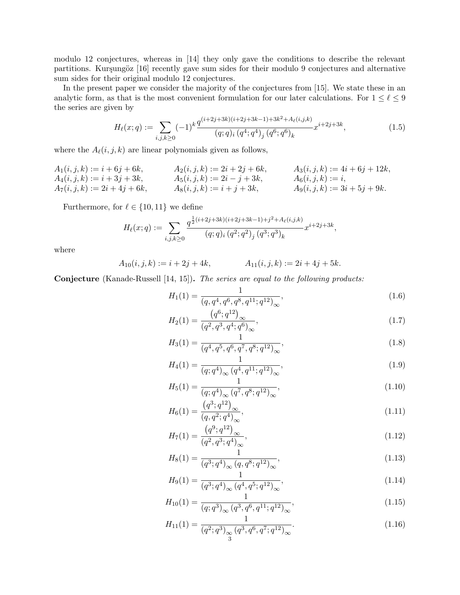modulo 12 conjectures, whereas in [14] they only gave the conditions to describe the relevant partitions. Kurşungöz [16] recently gave sum sides for their modulo 9 conjectures and alternative sum sides for their original modulo 12 conjectures.

In the present paper we consider the majority of the conjectures from [15]. We state these in an analytic form, as that is the most convenient formulation for our later calculations. For  $1 \le \ell \le 9$ the series are given by

$$
H_{\ell}(x;q) := \sum_{i,j,k \ge 0} (-1)^k \frac{q^{(i+2j+3k)(i+2j+3k-1)+3k^2+A_{\ell}(i,j,k)}}{(q;q)_i (q^4;q^4)_j (q^6;q^6)_k} x^{i+2j+3k},\tag{1.5}
$$

where the  $A_\ell(i,j,k)$  are linear polynomials given as follows,

$$
A_1(i, j, k) := i + 6j + 6k,
$$
  
\n
$$
A_2(i, j, k) := 2i + 2j + 6k,
$$
  
\n
$$
A_3(i, j, k) := 4i + 6j + 12k,
$$
  
\n
$$
A_4(i, j, k) := i + 3j + 3k,
$$
  
\n
$$
A_5(i, j, k) := 2i - j + 3k,
$$
  
\n
$$
A_6(i, j, k) := i,
$$
  
\n
$$
A_6(i, j, k) := i,
$$
  
\n
$$
A_9(i, j, k) := 3i + 5j + 9k.
$$

Furthermore, for  $\ell \in \{10, 11\}$  we define

$$
H_{\ell}(x;q) := \sum_{i,j,k \ge 0} \frac{q^{\frac{1}{2}(i+2j+3k)(i+2j+3k-1)+j^2+A_{\ell}(i,j,k)}}{(q;q)_i (q^2;q^2)_j (q^3;q^3)_k} x^{i+2j+3k},
$$

where

$$
A_{10}(i,j,k) := i + 2j + 4k, \qquad A_{11}(i,j,k) := 2i + 4j + 5k.
$$

Conjecture (Kanade-Russell [14, 15]). The series are equal to the following products:

$$
H_1(1) = \frac{1}{(q, q^4, q^6, q^8, q^{11}; q^{12})_{\infty}},
$$
\n(1.6)

$$
H_2(1) = \frac{\left(q^6; q^{12}\right)_{\infty}}{\left(q^2, q^3, q^4; q^6\right)_{\infty}},\tag{1.7}
$$

$$
H_3(1) = \frac{1}{(q^4, q^5, q^6, q^7, q^8; q^{12})_{\infty}},
$$
\n(1.8)

$$
H_4(1) = \frac{1}{(q;q^4)_{\infty} (q^4, q^{11};q^{12})_{\infty}},
$$
\n(1.9)

$$
H_5(1) = \frac{1}{(q;q^4)_{\infty} (q^7, q^8; q^{12})_{\infty}},
$$
\n(1.10)

$$
H_6(1) = \frac{\left(q^3; q^{12}\right)_{\infty}}{\left(q, q^2; q^4\right)_{\infty}},\tag{1.11}
$$

$$
H_7(1) = \frac{\left(q^9; q^{12}\right)_{\infty}}{\left(q^2, q^3; q^4\right)_{\infty}},\tag{1.12}
$$

$$
H_8(1) = \frac{1}{(q^3; q^4)_{\infty} (q, q^8; q^{12})_{\infty}},
$$
\n(1.13)

$$
H_9(1) = \frac{1}{(q^3; q^4)_{\infty} (q^4, q^5; q^{12})_{\infty}},
$$
\n(1.14)

$$
H_{10}(1) = \frac{1}{(q;q^3)_{\infty} (q^3, q^6, q^{11};q^{12})_{\infty}},
$$
\n(1.15)

$$
H_{11}(1) = \frac{1}{(q^2;q^3)_{\infty} (q^3,q^6,q^7;q^{12})_{\infty}}.
$$
\n(1.16)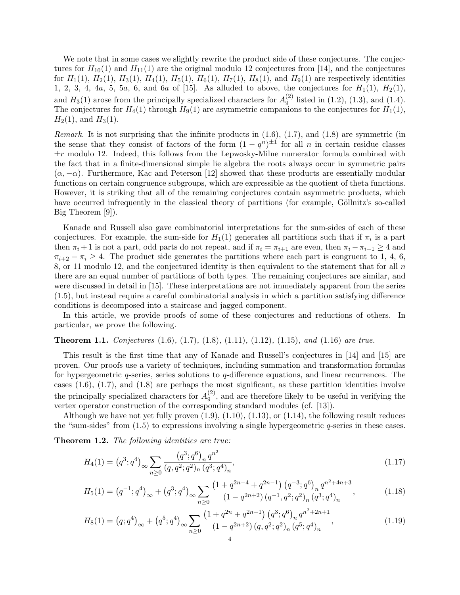We note that in some cases we slightly rewrite the product side of these conjectures. The conjectures for  $H_{10}(1)$  and  $H_{11}(1)$  are the original modulo 12 conjectures from [14], and the conjectures for  $H_1(1)$ ,  $H_2(1)$ ,  $H_3(1)$ ,  $H_4(1)$ ,  $H_5(1)$ ,  $H_6(1)$ ,  $H_7(1)$ ,  $H_8(1)$ , and  $H_9(1)$  are respectively identities 1, 2, 3, 4, 4a, 5, 5a, 6, and 6a of [15]. As alluded to above, the conjectures for  $H_1(1)$ ,  $H_2(1)$ , and  $H_3(1)$  arose from the principally specialized characters for  $A_9^{(2)}$  $_{9}^{(2)}$  listed in (1.2), (1.3), and (1.4). The conjectures for  $H_4(1)$  through  $H_9(1)$  are asymmetric companions to the conjectures for  $H_1(1)$ ,  $H_2(1)$ , and  $H_3(1)$ .

*Remark.* It is not surprising that the infinite products in  $(1.6)$ ,  $(1.7)$ , and  $(1.8)$  are symmetric (in the sense that they consist of factors of the form  $(1 - q^n)^{\pm 1}$  for all n in certain residue classes  $\pm r$  modulo 12. Indeed, this follows from the Lepwosky-Milne numerator formula combined with the fact that in a finite-dimensional simple lie algebra the roots always occur in symmetric pairs  $(\alpha, -\alpha)$ . Furthermore, Kac and Peterson [12] showed that these products are essentially modular functions on certain congruence subgroups, which are expressible as the quotient of theta functions. However, it is striking that all of the remaining conjectures contain asymmetric products, which have occurred infrequently in the classical theory of partitions (for example, Göllnitz's so-called Big Theorem [9]).

Kanade and Russell also gave combinatorial interpretations for the sum-sides of each of these conjectures. For example, the sum-side for  $H_1(1)$  generates all partitions such that if  $\pi_i$  is a part then  $\pi_i + 1$  is not a part, odd parts do not repeat, and if  $\pi_i = \pi_{i+1}$  are even, then  $\pi_i - \pi_{i-1} \geq 4$  and  $\pi_{i+2} - \pi_i \geq 4$ . The product side generates the partitions where each part is congruent to 1, 4, 6, 8, or 11 modulo 12, and the conjectured identity is then equivalent to the statement that for all n there are an equal number of partitions of both types. The remaining conjectures are similar, and were discussed in detail in [15]. These interpretations are not immediately apparent from the series (1.5), but instead require a careful combinatorial analysis in which a partition satisfying difference conditions is decomposed into a staircase and jagged component.

In this article, we provide proofs of some of these conjectures and reductions of others. In particular, we prove the following.

## **Theorem 1.1.** Conjectures  $(1.6)$ ,  $(1.7)$ ,  $(1.8)$ ,  $(1.11)$ ,  $(1.12)$ ,  $(1.15)$ , and  $(1.16)$  are true.

This result is the first time that any of Kanade and Russell's conjectures in [14] and [15] are proven. Our proofs use a variety of techniques, including summation and transformation formulas for hypergeometric  $q$ -series, series solutions to  $q$ -difference equations, and linear recurrences. The cases  $(1.6)$ ,  $(1.7)$ , and  $(1.8)$  are perhaps the most significant, as these partition identities involve the principally specialized characters for  $A_9^{(2)}$  $\binom{2}{9}$ , and are therefore likely to be useful in verifying the vertex operator construction of the corresponding standard modules (cf. [13]).

Although we have not yet fully proven  $(1.9)$ ,  $(1.10)$ ,  $(1.13)$ , or  $(1.14)$ , the following result reduces the "sum-sides" from  $(1.5)$  to expressions involving a single hypergeometric q-series in these cases.

Theorem 1.2. The following identities are true:

$$
H_4(1) = (q^3; q^4)_{\infty} \sum_{n \ge 0} \frac{(q^3; q^6)_n q^{n^2}}{(q, q^2; q^2)_n (q^3; q^4)_n},
$$
\n(1.17)

$$
H_5(1) = (q^{-1}; q^4)_{\infty} + (q^3; q^4)_{\infty} \sum_{n \ge 0} \frac{\left(1 + q^{2n-4} + q^{2n-1}\right) \left(q^{-3}; q^6\right)_n q^{n^2 + 4n + 3}}{\left(1 - q^{2n+2}\right) \left(q^{-1}, q^2; q^2\right)_n \left(q^3; q^4\right)_n},\tag{1.18}
$$

$$
H_8(1) = (q;q^4)_{\infty} + (q^5;q^4)_{\infty} \sum_{n\geq 0} \frac{\left(1+q^{2n}+q^{2n+1}\right)(q^3;q^6)_n q^{n^2+2n+1}}{\left(1-q^{2n+2}\right)(q,q^2;q^2)_n (q^5;q^4)_n},\tag{1.19}
$$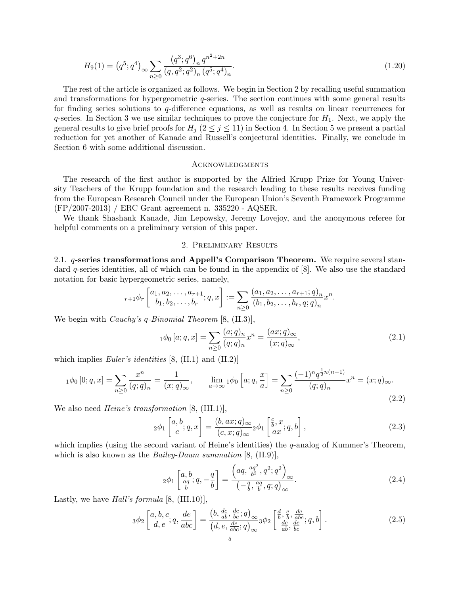$$
H_9(1) = (q^5; q^4)_{\infty} \sum_{n \ge 0} \frac{(q^3; q^6)_n q^{n^2 + 2n}}{(q, q^2; q^2)_n (q^5; q^4)_n}.
$$
\n(1.20)

The rest of the article is organized as follows. We begin in Section 2 by recalling useful summation and transformations for hypergeometric q-series. The section continues with some general results for finding series solutions to  $q$ -difference equations, as well as results on linear recurrences for  $q$ -series. In Section 3 we use similar techniques to prove the conjecture for  $H_1$ . Next, we apply the general results to give brief proofs for  $H_i$  ( $2 \leq j \leq 11$ ) in Section 4. In Section 5 we present a partial reduction for yet another of Kanade and Russell's conjectural identities. Finally, we conclude in Section 6 with some additional discussion.

### **ACKNOWLEDGMENTS**

The research of the first author is supported by the Alfried Krupp Prize for Young University Teachers of the Krupp foundation and the research leading to these results receives funding from the European Research Council under the European Union's Seventh Framework Programme (FP/2007-2013) / ERC Grant agreement n. 335220 - AQSER.

We thank Shashank Kanade, Jim Lepowsky, Jeremy Lovejoy, and the anonymous referee for helpful comments on a preliminary version of this paper.

### 2. Preliminary Results

2.1. q-series transformations and Appell's Comparison Theorem. We require several standard q-series identities, all of which can be found in the appendix of [8]. We also use the standard notation for basic hypergeometric series, namely,

$$
{}_{r+1}\phi_r\left[\begin{matrix}a_1, a_2, \dots, a_{r+1} \\ b_1, b_2, \dots, b_r\end{matrix}; q, x\right] := \sum_{n \geq 0} \frac{(a_1, a_2, \dots, a_{r+1}; q)_n}{(b_1, b_2, \dots, b_r, q; q)_n} x^n.
$$

We begin with *Cauchy's q-Binomial Theorem* [8, (II.3)],

$$
{}_{1}\phi_{0}[a;q,x] = \sum_{n\geq 0} \frac{(a;q)_{n}}{(q;q)_{n}} x^{n} = \frac{(ax;q)_{\infty}}{(x;q)_{\infty}},
$$
\n(2.1)

which implies *Euler's identities* [8,  $(II.1)$  and  $(II.2)$ ]

$$
{}_{1}\phi_{0}[0;q,x] = \sum_{n\geq 0} \frac{x^{n}}{(q;q)_{n}} = \frac{1}{(x;q)_{\infty}}, \qquad \lim_{a\to\infty} {}_{1}\phi_{0}[a;q,\frac{x}{a}] = \sum_{n\geq 0} \frac{(-1)^{n}q^{\frac{1}{2}n(n-1)}}{(q;q)_{n}}x^{n} = (x;q)_{\infty}.
$$
\n(2.2)

We also need *Heine's transformation* [8, (III.1)],

$$
{}_2\phi_1\left[\begin{matrix}a,b\\c\end{matrix};q,x\right] = \frac{(b,ax;q)_\infty}{(c,x;q)_\infty}{}_2\phi_1\left[\begin{matrix}c,x\\ax;q,b\end{matrix}\right],\tag{2.3}
$$

which implies (using the second variant of Heine's identities) the  $q$ -analog of Kummer's Theorem, which is also known as the *Bailey-Daum summation*  $[8, (II.9)],$ 

$$
{}_2\phi_1\left[\begin{matrix}a,b\\ \frac{aq}{b}\end{matrix};q,-\frac{q}{b}\right] = \frac{\left(aq,\frac{aq^2}{b^2},q^2;q^2\right)_{\infty}}{\left(-\frac{q}{b},\frac{aq}{b},q;q\right)_{\infty}}.\tag{2.4}
$$

Lastly, we have *Hall's formula* [8,  $(III.10)$ ],

$$
3\phi_2\left[\begin{array}{c} a,b,c\\d,e \end{array};q,\frac{de}{abc}\right] = \frac{\left(b,\frac{de}{ab},\frac{de}{bc};q\right)_{\infty}}{\left(d,e,\frac{de}{abc};q\right)_{\infty}} 3\phi_2\left[\begin{array}{c} d, e, \frac{de}{abc};q,b\\ \frac{de}{ab}, \frac{de}{bc};q,b \end{array}\right].
$$
 (2.5)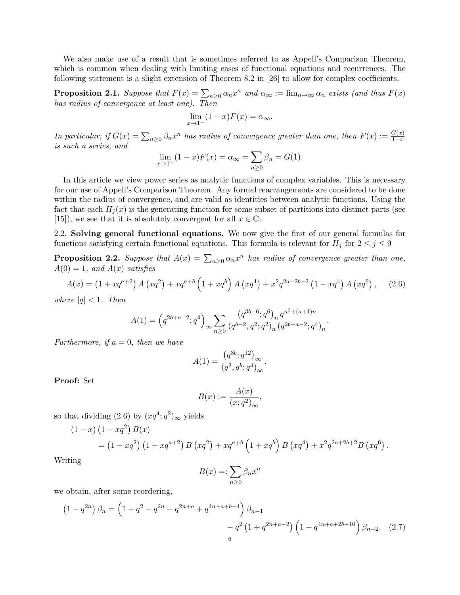We also make use of a result that is sometimes referred to as Appell's Comparison Theorem, which is common when dealing with limiting cases of functional equations and recurrences. The following statement is a slight extension of Theorem 8.2 in [26] to allow for complex coefficients.

**Proposition 2.1.** Suppose that  $F(x) = \sum_{n\geq 0} \alpha_n x^n$  and  $\alpha_\infty := \lim_{n\to\infty} \alpha_n$  exists (and thus  $F(x)$ ) has radius of convergence at least one). Then

$$
\lim_{x \to 1^-} (1 - x) F(x) = \alpha_{\infty}.
$$

In particular, if  $G(x) = \sum_{n\geq 0} \beta_n x^n$  has radius of convergence greater than one, then  $F(x) := \frac{G(x)}{1-x}$ is such a series, and

$$
\lim_{x \to 1^{-}} (1 - x)F(x) = \alpha_{\infty} = \sum_{n \ge 0} \beta_n = G(1).
$$

In this article we view power series as analytic functions of complex variables. This is necessary for our use of Appell's Comparison Theorem. Any formal rearrangements are considered to be done within the radius of convergence, and are valid as identities between analytic functions. Using the fact that each  $H_i(x)$  is the generating function for some subset of partitions into distinct parts (see [15]), we see that it is absolutely convergent for all  $x \in \mathbb{C}$ .

2.2. Solving general functional equations. We now give the first of our general formulas for functions satisfying certain functional equations. This formula is relevant for  $H_j$  for  $2 \leq j \leq 9$ 

**Proposition 2.2.** Suppose that  $A(x) = \sum_{n\geq 0} \alpha_n x^n$  has radius of convergence greater than one,  $A(0) = 1$ , and  $A(x)$  satisfies

$$
A(x) = (1 + xq^{a+2}) A (xq^2) + xq^{a+b} (1 + xq^b) A (xq^4) + x^2q^{2a+2b+2} (1 - xq^4) A (xq^6),
$$
 (2.6)

where  $|q| < 1$ . Then

$$
A(1) = \left(q^{2b+a-2};q^4\right)_{\infty} \sum_{n\geq 0} \frac{\left(q^{3b-6};q^6\right)_n q^{n^2+(a+1)n}}{\left(q^{b-2},q^2;q^2\right)_n \left(q^{2b+a-2};q^4\right)_n}.
$$

Furthermore, if  $a = 0$ , then we have

$$
A(1)=\frac{\left(q^{3b};q^{12}\right)_\infty}{\left(q^2,q^b;q^4\right)_\infty}.
$$

Proof: Set

$$
B(x) := \frac{A(x)}{(x;q^2)_{\infty}},
$$

so that dividing  $(2.6)$  by  $(xq^4; q^2)_{\infty}$  yields

$$
(1-x)(1-xq2) B(x)
$$
  
=  $(1-xq2) (1 + xqa+2) B (xq2) + xqa+b (1 + xqb) B (xq4) + x2q2a+2b+2B (xq6)$ .

Writing

$$
B(x) =: \sum_{n \ge 0} \beta_n x^n
$$

we obtain, after some reordering,

$$
(1 - q^{2n}) \beta_n = \left(1 + q^2 - q^{2n} + q^{2n+a} + q^{4n+a+b-4}\right) \beta_{n-1}
$$

$$
- q^2 \left(1 + q^{2n+a-2}\right) \left(1 - q^{4n+a+2b-10}\right) \beta_{n-2}.
$$
 (2.7)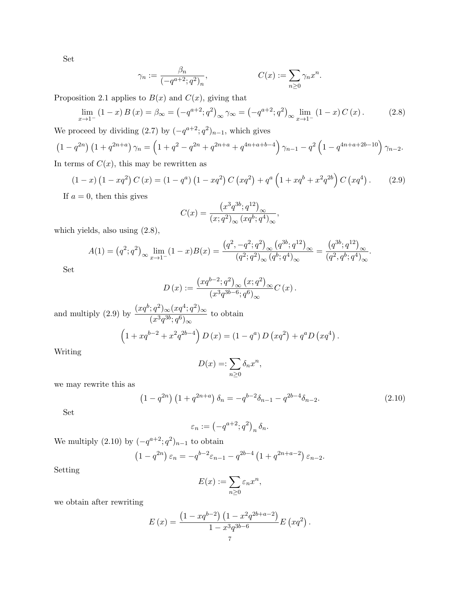Set

$$
\gamma_n := \frac{\beta_n}{\left(-q^{a+2}; q^2\right)_n}, \qquad C(x) := \sum_{n \ge 0} \gamma_n x^n.
$$

Proposition 2.1 applies to  $B(x)$  and  $C(x)$ , giving that

$$
\lim_{x \to 1^{-}} (1 - x) B(x) = \beta_{\infty} = \left( -q^{a+2}; q^{2} \right)_{\infty} \gamma_{\infty} = \left( -q^{a+2}; q^{2} \right)_{\infty} \lim_{x \to 1^{-}} (1 - x) C(x). \tag{2.8}
$$

We proceed by dividing  $(2.7)$  by  $(-q^{a+2}; q^2)_{n-1}$ , which gives

$$
(1 - q^{2n}) (1 + q^{2n+a}) \gamma_n = (1 + q^2 - q^{2n} + q^{2n+a} + q^{4n+a+b-4}) \gamma_{n-1} - q^2 (1 - q^{4n+a+2b-10}) \gamma_{n-2}.
$$

In terms of  $C(x)$ , this may be rewritten as

$$
(1-x)(1-xq2) C (x) = (1-qa) (1-xq2) C (xq2) + qa (1+xqb + x2q2b) C (xq4) . \t(2.9)
$$

If  $a = 0$ , then this gives

$$
C(x)=\frac{\left(x^3q^{3b};q^{12}\right)_\infty}{(x;q^2)_\infty\left(xq^b;q^4\right)_\infty},
$$

which yields, also using (2.8),

$$
A(1) = (q^2; q^2)_{\infty} \lim_{x \to 1^-} (1-x)B(x) = \frac{(q^2, -q^2; q^2)_{\infty} (q^{3b}; q^{12})_{\infty}}{(q^2; q^2)_{\infty} (q^b; q^4)_{\infty}} = \frac{(q^{3b}; q^{12})_{\infty}}{(q^2, q^b; q^4)_{\infty}}.
$$

Set

$$
D(x) := \frac{\left(xq^{b-2};q^2\right)_{\infty} (x;q^2)_{\infty}}{(x^3q^{3b-6};q^6)_{\infty}} C(x).
$$

and multiply (2.9) by  $\frac{(xq^b;q^2)_{\infty}(xq^4;q^2)_{\infty}}{q^3q^2}$  $\frac{(x^3q^{3b};q^6)_{\infty}}{(x^3q^{3b};q^6)_{\infty}}$  to obtain  $(1+xq^{b-2}+x^2q^{2b-4}) D(x) = (1-q^a) D(xq^2) + q^a D(xq^4)$ . Writing

$$
D(x) =: \sum_{n \ge 0} \delta_n x^n,
$$

we may rewrite this as

$$
(1 - q^{2n}) (1 + q^{2n+a}) \delta_n = -q^{b-2} \delta_{n-1} - q^{2b-4} \delta_{n-2}.
$$
 (2.10)

Set

$$
\varepsilon_n := \left(-q^{a+2}; q^2\right)_n \delta_n.
$$

We multiply  $(2.10)$  by  $(-q^{a+2}; q^2)_{n-1}$  to obtain

$$
(1 - q^{2n}) \varepsilon_n = -q^{b-2} \varepsilon_{n-1} - q^{2b-4} (1 + q^{2n+a-2}) \varepsilon_{n-2}.
$$

Setting

$$
E(x) := \sum_{n\geq 0} \varepsilon_n x^n,
$$

we obtain after rewriting

$$
E(x) = \frac{\left(1 - xq^{b-2}\right)\left(1 - x^2 q^{2b+a-2}\right)}{1 - x^3 q^{3b-6}} E\left(xq^2\right).
$$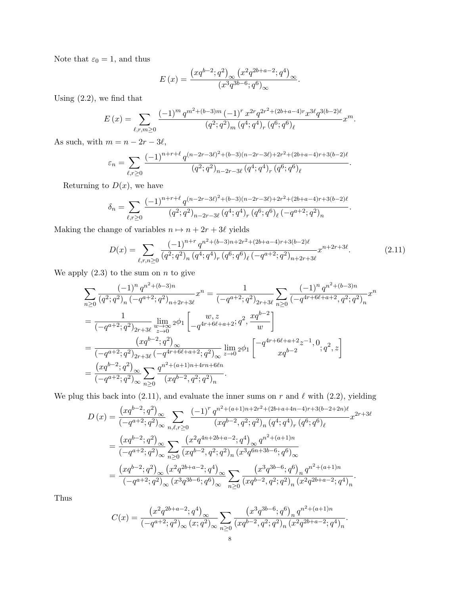Note that  $\varepsilon_0 = 1$ , and thus

$$
E\left(x\right)=\frac{\left(xq^{b-2};q^{2}\right)_{\infty}\left(x^{2}q^{2b+a-2};q^{4}\right)_{\infty}}{\left(x^{3}q^{3b-6};q^{6}\right)_{\infty}}.
$$

Using (2.2), we find that

$$
E(x) = \sum_{\ell,r,m \ge 0} \frac{(-1)^m q^{m^2 + (b-3)m} (-1)^r x^{2r} q^{2r^2 + (2b+a-4)r} x^{3\ell} q^{3(b-2)\ell}}{(q^2;q^2)_m (q^4;q^4)_r (q^6;q^6)_\ell} x^m.
$$

As such, with  $m = n - 2r - 3\ell$ ,

$$
\varepsilon_n = \sum_{\ell,r \ge 0} \frac{(-1)^{n+r+\ell} q^{(n-2r-3\ell)^2 + (b-3)(n-2r-3\ell)+2r^2 + (2b+a-4)r + 3(b-2)\ell}}{(q^2;q^2)_{n-2r-3\ell} (q^4;q^4)_r (q^6;q^6)_\ell}
$$

Returning to  $D(x)$ , we have

$$
\delta_n = \sum_{\ell,r\geq 0} \frac{(-1)^{n+r+\ell} q^{(n-2r-3\ell)^2 + (b-3)(n-2r-3\ell)+2r^2 + (2b+a-4)r + 3(b-2)\ell}}{(q^2;q^2)_{n-2r-3\ell} (q^4;q^4)_r (q^6;q^6)_\ell (-q^{a+2};q^2)_n}
$$

Making the change of variables  $n \mapsto n + 2r + 3\ell$  yields

$$
D(x) = \sum_{\ell,r,n \ge 0} \frac{(-1)^{n+r} q^{n^2 + (b-3)n + 2r^2 + (2b+a-4)r + 3(b-2)\ell}}{(q^2;q^2)_n (q^4;q^4)_r (q^6;q^6)_\ell (-q^{a+2};q^2)_{n+2r+3\ell}} x^{n+2r+3\ell}.
$$
 (2.11)

.

.

We apply  $(2.3)$  to the sum on n to give

$$
\sum_{n\geq 0} \frac{(-1)^n q^{n^2 + (b-3)n}}{(q^2;q^2)_n (-q^{a+2};q^2)_{n+2r+3\ell}} x^n = \frac{1}{(-q^{a+2};q^2)_{2r+3\ell}} \sum_{n\geq 0} \frac{(-1)^n q^{n^2 + (b-3)n}}{(-q^{4r+6\ell+a+2},q^2;q^2)_n} x^n
$$
  
= 
$$
\frac{1}{(-q^{a+2};q^2)_{2r+3\ell}} \lim_{\substack{w\to\infty\\z\to 0}} 2\phi_1 \left[ \frac{w,z}{-q^{4r+6\ell+a+2}} z^n, \frac{xq^{b-2}}{w} \right]
$$
  
= 
$$
\frac{(xq^{b-2};q^2)_{\infty}}{(-q^{a+2};q^2)_{2r+3\ell} (-q^{4r+6\ell+a+2};q^2)_{\infty}} \lim_{z\to 0} 2\phi_1 \left[ \frac{-q^{4r+6\ell+a+2}z^{-1},0}{xq^{b-2}} ;q^2,z \right]
$$
  
= 
$$
\frac{(xq^{b-2};q^2)_{\infty}}{(-q^{a+2};q^2)_{\infty}} \sum_{n\geq 0} \frac{q^{n^2+(a+1)n+4rn+6\ell n}}{(xq^{b-2},q^2;q^2)_n}.
$$

We plug this back into (2.11), and evaluate the inner sums on r and  $\ell$  with (2.2), yielding

$$
D(x) = \frac{(xq^{b-2};q^2)_{\infty}}{(-q^{a+2};q^2)_{\infty}} \sum_{n,\ell,r\geq 0} \frac{(-1)^r q^{n^2+(a+1)n+2r^2+(2b+a+4n-4)r+3(b-2+2n)\ell}}{(xq^{b-2},q^2;q^2)_n (q^4;q^4)_r (q^6;q^6)_\ell} x^{2r+3\ell}
$$
  

$$
= \frac{(xq^{b-2};q^2)_{\infty}}{(-q^{a+2};q^2)_{\infty}} \sum_{n\geq 0} \frac{(x^2q^{4n+2b+a-2};q^4)_{\infty} q^{n^2+(a+1)n}}{(xq^{b-2},q^2;q^2)_n (x^3q^{6n+3b-6};q^6)_{\infty}}
$$
  

$$
= \frac{(xq^{b-2};q^2)_{\infty} (x^2q^{2b+a-2};q^4)_{\infty}}{(-q^{a+2};q^2)_{\infty} (x^3q^{3b-6};q^6)_{\infty}} \sum_{n\geq 0} \frac{(x^3q^{3b-6};q^6)_n q^{n^2+(a+1)n}}{(xq^{b-2},q^2;q^2)_n (x^2q^{2b+a-2};q^4)_n}.
$$

Thus

$$
C(x) = \frac{\left(x^2 q^{2b+a-2}; q^4\right)_{\infty}}{\left(-q^{a+2}; q^2\right)_{\infty} (x; q^2)_{\infty}} \sum_{n \ge 0} \frac{\left(x^3 q^{3b-6}; q^6\right)_n q^{n^2 + (a+1)n}}{\left(xq^{b-2}, q^2; q^2\right)_n \left(x^2 q^{2b+a-2}; q^4\right)_n}.
$$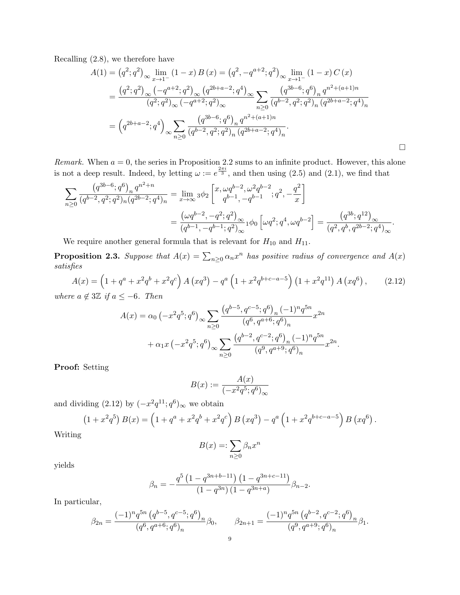Recalling (2.8), we therefore have

$$
A(1) = (q^2; q^2)_{\infty} \lim_{x \to 1^-} (1 - x) B(x) = (q^2, -q^{a+2}; q^2)_{\infty} \lim_{x \to 1^-} (1 - x) C(x)
$$
  
= 
$$
\frac{(q^2; q^2)_{\infty} (-q^{a+2}; q^2)_{\infty} (q^{2b+a-2}; q^4)_{\infty}}{(q^2; q^2)_{\infty} (-q^{a+2}; q^2)_{\infty}} \sum_{n \ge 0} \frac{(q^{3b-6}; q^6)_n q^{n^2 + (a+1)n}}{(q^{b-2}, q^2; q^2)_n (q^{2b+a-2}; q^4)_n}
$$
  
= 
$$
(q^{2b+a-2}; q^4)_{\infty} \sum_{n \ge 0} \frac{(q^{3b-6}; q^6)_n q^{n^2 + (a+1)n}}{(q^{b-2}, q^2; q^2)_n (q^{2b+a-2}; q^4)_n}.
$$

*Remark.* When  $a = 0$ , the series in Proposition 2.2 sums to an infinite product. However, this alone is not a deep result. Indeed, by letting  $\omega := e^{\frac{2\pi i}{3}}$ , and then using (2.5) and (2.1), we find that

$$
\sum_{n\geq 0} \frac{\left(q^{3b-6}; q^6\right)_n q^{n^2+n}}{(q^{b-2}, q^2; q^2)_n (q^{2b-2}; q^4)_n} = \lim_{x\to\infty} 3\phi_2 \left[ \begin{matrix} x, \omega q^{b-2}, \omega^2 q^{b-2} \\ q^{b-1}, -q^{b-1} \end{matrix}; q^2, -\frac{q^2}{x} \right]
$$
  

$$
= \frac{\left(\omega q^{b-2}, -q^2; q^2\right)_{\infty}}{\left(q^{b-1}, -q^{b-1}; q^2\right)_{\infty}} 1\phi_0 \left[\omega q^2; q^4, \omega q^{b-2}\right] = \frac{\left(q^{3b}; q^{12}\right)_{\infty}}{\left(q^2, q^b, q^{2b-2}; q^4\right)_{\infty}}.
$$

We require another general formula that is relevant for  $H_{10}$  and  $H_{11}$ .

**Proposition 2.3.** Suppose that  $A(x) = \sum_{n\geq 0} \alpha_n x^n$  has positive radius of convergence and  $A(x)$ satisfies

$$
A(x) = \left(1 + q^a + x^2 q^b + x^2 q^c\right) A\left(xq^3\right) - q^a \left(1 + x^2 q^{b+c-a-5}\right) \left(1 + x^2 q^{11}\right) A\left(xq^6\right),\tag{2.12}
$$
\nhere  $a \notin 3\mathbb{Z}$  if  $a \le -6$ . Then

where  $a \notin 3\mathbb{Z}$  if  $a \leq -6$ . Then

$$
A(x) = \alpha_0 \left( -x^2 q^5; q^6 \right)_{\infty} \sum_{n \ge 0} \frac{\left( q^{b-5}, q^{c-5}; q^6 \right)_n (-1)^n q^{5n}}{\left( q^6, q^{a+6}; q^6 \right)_n} x^{2n} + \alpha_1 x \left( -x^2 q^5; q^6 \right)_{\infty} \sum_{n \ge 0} \frac{\left( q^{b-2}, q^{c-2}; q^6 \right)_n (-1)^n q^{5n}}{\left( q^9, q^{a+9}; q^6 \right)_n} x^{2n}.
$$

Proof: Setting

$$
B(x) := \frac{A(x)}{(-x^2q^5;q^6)_{\infty}}
$$

and dividing  $(2.12)$  by  $(-x^2q^{11}; q^6)_{\infty}$  we obtain

$$
(1+x^2q^5) B(x) = (1+q^a+x^2q^b+x^2q^c) B (xq^3) - q^a (1+x^2q^{b+c-a-5}) B (xq^6).
$$

Writing

$$
B(x) =: \sum_{n\geq 0} \beta_n x^n
$$

yields

$$
\beta_n = -\frac{q^5 \left(1 - q^{3n+b-11}\right) \left(1 - q^{3n+c-11}\right)}{\left(1 - q^{3n}\right) \left(1 - q^{3n+a}\right)} \beta_{n-2}.
$$

In particular,

$$
\beta_{2n} = \frac{(-1)^n q^{5n} (q^{b-5}, q^{c-5}; q^6)_n}{(q^6, q^{a+6}; q^6)_n} \beta_0, \qquad \beta_{2n+1} = \frac{(-1)^n q^{5n} (q^{b-2}, q^{c-2}; q^6)_n}{(q^9, q^{a+9}; q^6)_n} \beta_1.
$$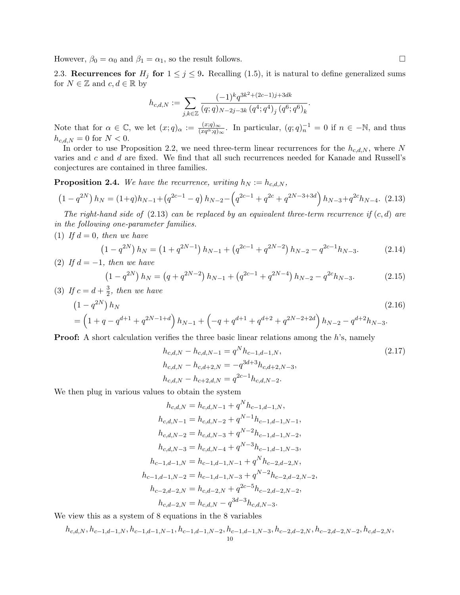However,  $\beta_0 = \alpha_0$  and  $\beta_1 = \alpha_1$ , so the result follows.

2.3. Recurrences for  $H_j$  for  $1 \leq j \leq 9$ . Recalling (1.5), it is natural to define generalized sums for  $N \in \mathbb{Z}$  and  $c, d \in \mathbb{R}$  by

$$
h_{c,d,N} := \sum_{j,k \in \mathbb{Z}} \frac{(-1)^k q^{3k^2 + (2c-1)j + 3dk}}{(q;q)_{N-2j-3k} (q^4;q^4)_j (q^6;q^6)_k}.
$$

Note that for  $\alpha \in \mathbb{C}$ , we let  $(x;q)_{\alpha} := \frac{(x;q)_{\infty}}{(xa^{\alpha},q)}$  $\frac{(x;q)_{\infty}}{(xq^{\alpha};q)_{\infty}}$ . In particular,  $(q;q)^{-1}_{n} = 0$  if  $n \in \mathbb{N}$ , and thus  $h_{c,d,N} = 0$  for  $N < 0$ .

In order to use Proposition 2.2, we need three-term linear recurrences for the  $h_{c,d,N}$ , where N varies and  $c$  and  $d$  are fixed. We find that all such recurrences needed for Kanade and Russell's conjectures are contained in three families.

**Proposition 2.4.** We have the recurrence, writing  $h_N := h_{c,d,N}$ ,

$$
(1 - q^{2N}) h_N = (1 + q)h_{N-1} + (q^{2c-1} - q) h_{N-2} - (q^{2c-1} + q^{2c} + q^{2N-3+3d}) h_{N-3} + q^{2c}h_{N-4}.
$$
 (2.13)

The right-hand side of  $(2.13)$  can be replaced by an equivalent three-term recurrence if  $(c, d)$  are in the following one-parameter families.

(1) If  $d = 0$ , then we have

$$
(1 - q^{2N}) h_N = (1 + q^{2N-1}) h_{N-1} + (q^{2c-1} + q^{2N-2}) h_{N-2} - q^{2c-1} h_{N-3}.
$$
 (2.14)  
(2) If  $d = -1$ , then we have

$$
(1 - q^{2N}) h_N = (q + q^{2N-2}) h_{N-1} + (q^{2c-1} + q^{2N-4}) h_{N-2} - q^{2c} h_{N-3}.
$$
 (2.15)

(3) If 
$$
c = d + \frac{3}{2}
$$
, then we have

$$
(1 - q^{2N}) h_N
$$
\n
$$
= \left(1 + q - q^{d+1} + q^{2N-1+d}\right) h_{N-1} + \left(-q + q^{d+1} + q^{d+2} + q^{2N-2+2d}\right) h_{N-2} - q^{d+2} h_{N-3}.
$$
\n(2.16)

**Proof:** A short calculation verifies the three basic linear relations among the  $h$ 's, namely

$$
h_{c,d,N} - h_{c,d,N-1} = q^N h_{c-1,d-1,N},
$$
  
\n
$$
h_{c,d,N} - h_{c,d+2,N} = -q^{3d+3} h_{c,d+2,N-3},
$$
  
\n
$$
h_{c,d,N} - h_{c+2,d,N} = q^{2c-1} h_{c,d,N-2}.
$$
\n(2.17)

We then plug in various values to obtain the system

$$
h_{c,d,N} = h_{c,d,N-1} + q^N h_{c-1,d-1,N},
$$
  
\n
$$
h_{c,d,N-1} = h_{c,d,N-2} + q^{N-1} h_{c-1,d-1,N-1},
$$
  
\n
$$
h_{c,d,N-2} = h_{c,d,N-3} + q^{N-2} h_{c-1,d-1,N-2},
$$
  
\n
$$
h_{c,d,N-3} = h_{c,d,N-4} + q^{N-3} h_{c-1,d-1,N-3},
$$
  
\n
$$
h_{c-1,d-1,N} = h_{c-1,d-1,N-1} + q^N h_{c-2,d-2,N},
$$
  
\n
$$
h_{c-1,d-1,N-2} = h_{c-1,d-1,N-3} + q^{N-2} h_{c-2,d-2,N-2},
$$
  
\n
$$
h_{c-2,d-2,N} = h_{c,d-2,N} + q^{2c-5} h_{c-2,d-2,N-2},
$$
  
\n
$$
h_{c,d-2,N} = h_{c,d,N} - q^{3d-3} h_{c,d,N-3}.
$$

We view this as a system of 8 equations in the 8 variables

$$
h_{c,d,N}, h_{c-1,d-1,N}, h_{c-1,d-1,N-1}, h_{c-1,d-1,N-2}, h_{c-1,d-1,N-3}, h_{c-2,d-2,N}, h_{c-2,d-2,N-2}, h_{c,d-2,N}, \\ h_{c-1,d-1,N-1}, h_{c-1,d-1,N-2}, h_{c-1,d-1,N-3}, h_{c-2,d-2,N}, h_{c-2,d-2,N-2}, h_{c,d-2,N}, \\ h_{c-1,d-1,N-1}, h_{c-1,d-1,N-1}, h_{c-1,d-1,N-3}, h_{c-2,d-2,N-1}, h_{c-2,M-2,N-1}
$$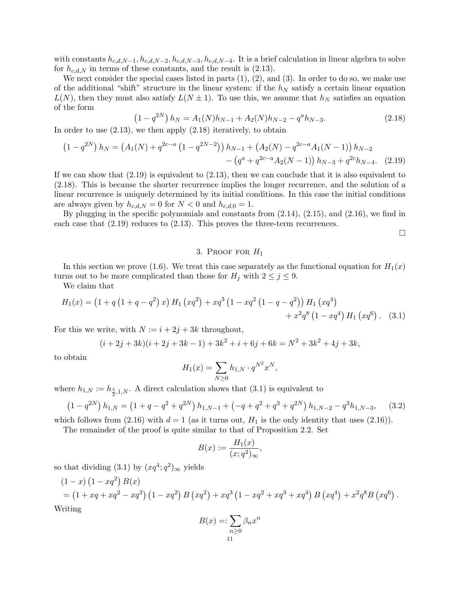with constants  $h_{c,d,N-1}, h_{c,d,N-2}, h_{c,d,N-3}, h_{c,d,N-4}$ . It is a brief calculation in linear algebra to solve for  $h_{c,d,N}$  in terms of these constants, and the result is (2.13).

We next consider the special cases listed in parts  $(1), (2),$  and  $(3)$ . In order to do so, we make use of the additional "shift" structure in the linear system: if the  $h<sub>N</sub>$  satisfy a certain linear equation  $L(N)$ , then they must also satisfy  $L(N \pm 1)$ . To use this, we assume that  $h_N$  satisfies an equation of the form

$$
(1 - q^{2N}) h_N = A_1(N)h_{N-1} + A_2(N)h_{N-2} - q^a h_{N-3}.
$$
 (2.18)

In order to use (2.13), we then apply (2.18) iteratively, to obtain

$$
(1 - q^{2N}) h_N = (A_1(N) + q^{2c-a} (1 - q^{2N-2})) h_{N-1} + (A_2(N) - q^{2c-a} A_1(N-1)) h_{N-2} - (q^a + q^{2c-a} A_2(N-1)) h_{N-3} + q^{2c} h_{N-4}.
$$
 (2.19)

If we can show that  $(2.19)$  is equivalent to  $(2.13)$ , then we can conclude that it is also equivalent to (2.18). This is because the shorter recurrence implies the longer recurrence, and the solution of a linear recurrence is uniquely determined by its initial conditions. In this case the initial conditions are always given by  $h_{c,d,N} = 0$  for  $N < 0$  and  $h_{c,d,0} = 1$ .

By plugging in the specific polynomials and constants from (2.14), (2.15), and (2.16), we find in each case that (2.19) reduces to (2.13). This proves the three-term recurrences.

 $\Box$ 

## 3. PROOF FOR  $H_1$

In this section we prove (1.6). We treat this case separately as the functional equation for  $H_1(x)$ turns out to be more complicated than those for  $H_j$  with  $2 \leq j \leq 9$ .

We claim that

$$
H_1(x) = (1 + q(1 + q - q^2) x) H_1 (xq^2) + xq^3 (1 - xq^2 (1 - q - q^2)) H_1 (xq^4) + x^2q^8 (1 - xq^4) H_1 (xq^6).
$$
 (3.1)

For this we write, with  $N := i + 2j + 3k$  throughout,

$$
(i+2j+3k)(i+2j+3k-1)+3k^2+i+6j+6k=N^2+3k^2+4j+3k,
$$

to obtain

$$
H_1(x) = \sum_{N \ge 0} h_{1,N} \cdot q^{N^2} x^N,
$$

where  $h_{1,N} := h_{\frac{5}{2},1,N}$ . A direct calculation shows that  $(3.1)$  is equivalent to

$$
(1 - q^{2N}) h_{1,N} = (1 + q - q^2 + q^{2N}) h_{1,N-1} + (-q + q^2 + q^3 + q^{2N}) h_{1,N-2} - q^3 h_{1,N-3}, \quad (3.2)
$$

which follows from  $(2.16)$  with  $d = 1$  (as it turns out,  $H_1$  is the only identity that uses  $(2.16)$ ).

The remainder of the proof is quite similar to that of Proposition 2.2. Set

$$
B(x) := \frac{H_1(x)}{(x;q^2)_{\infty}},
$$

so that dividing  $(3.1)$  by  $(xq^4; q^2)_{\infty}$  yields

$$
(1-x)(1-xq^{2}) B(x)
$$
  
=  $(1+xq+xq^{2}-xq^{3})(1-xq^{2}) B(xq^{2})+xq^{3}(1-xq^{2}+xq^{3}+xq^{4}) B(xq^{4})+x^{2}q^{8}B(xq^{6}).$   
Writing

$$
B(x) =: \sum_{n\geq 0} \beta_n x^n
$$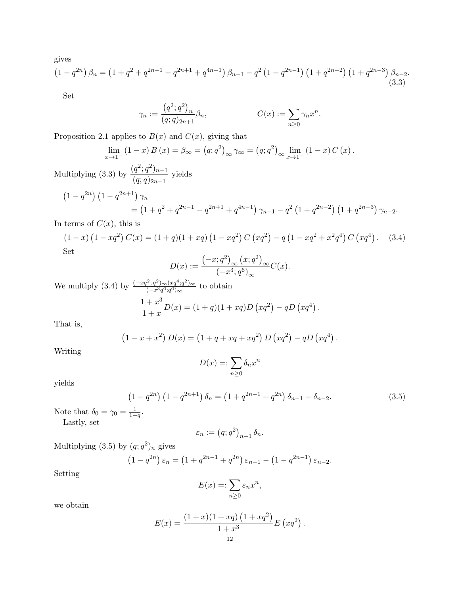gives

$$
(1 - q^{2n}) \beta_n = (1 + q^2 + q^{2n-1} - q^{2n+1} + q^{4n-1}) \beta_{n-1} - q^2 (1 - q^{2n-1}) (1 + q^{2n-2}) (1 + q^{2n-3}) \beta_{n-2}.
$$
\n(3.3)

Set

$$
\gamma_n := \frac{\left(q^2; q^2\right)_n}{(q;q)_{2n+1}} \beta_n, \qquad C(x) := \sum_{n \ge 0} \gamma_n x^n.
$$

Proposition 2.1 applies to  $B(x)$  and  $C(x)$ , giving that

$$
\lim_{x \to 1^-} (1 - x) B(x) = \beta_{\infty} = (q; q^2)_{\infty} \gamma_{\infty} = (q; q^2)_{\infty} \lim_{x \to 1^-} (1 - x) C(x).
$$
  
Multiplying (3.3) by 
$$
\frac{(q^2; q^2)_{n-1}}{(q; q)_{2n-1}}
$$
 yields

$$
(1 - q^{2n}) (1 - q^{2n+1}) \gamma_n
$$
  
=  $(1 + q^2 + q^{2n-1} - q^{2n+1} + q^{4n-1}) \gamma_{n-1} - q^2 (1 + q^{2n-2}) (1 + q^{2n-3}) \gamma_{n-2}.$ 

# In terms of  $C(x)$ , this is

$$
(1-x)(1-xq2) C(x) = (1+q)(1+xq) (1-xq2) C (xq2) - q (1-xq2 + x2q4) C (xq4) . (3.4)
$$
  
Set

$$
D(x) := \frac{\left(-x; q^2\right)_{\infty} \left(x; q^2\right)_{\infty}}{\left(-x^3; q^6\right)_{\infty}} C(x).
$$

We multiply (3.4) by  $\frac{(-xq^2;q^2)\infty(xq^4;q^2)\infty}{(-x^3q^6;q^6)}$  $\frac{q^2; q^2 \in (xq^2; q^2)_{\infty}}{(-x^3q^6; q^6)_{\infty}}$  to obtain  $1 + x^3$  $\frac{1+x}{1+x}D(x) = (1+q)(1+xq)D\left(xq^2\right) - qD\left(xq^4\right).$ 

That is,

$$
(1 - x + x2) D(x) = (1 + q + xq + xq2) D (xq2) – qD (xq4).
$$

Writing

$$
D(x) =: \sum_{n \ge 0} \delta_n x^n
$$

yields

$$
(1 - q^{2n}) (1 - q^{2n+1}) \delta_n = (1 + q^{2n-1} + q^{2n}) \delta_{n-1} - \delta_{n-2}.
$$
 (3.5)

Note that  $\delta_0 = \gamma_0 = \frac{1}{1-q}$ .

Lastly, set

$$
\varepsilon_n := (q;q^2)_{n+1} \, \delta_n.
$$

Multiplying  $(3.5)$  by  $(q;q^2)_n$  gives

$$
(1 - q^{2n}) \varepsilon_n = (1 + q^{2n-1} + q^{2n}) \varepsilon_{n-1} - (1 - q^{2n-1}) \varepsilon_{n-2}.
$$

Setting

$$
E(x) =: \sum_{n \ge 0} \varepsilon_n x^n,
$$

we obtain

$$
E(x) = \frac{(1+x)(1+xq)(1+xq^{2})}{1+x^{3}} E(xq^{2}).
$$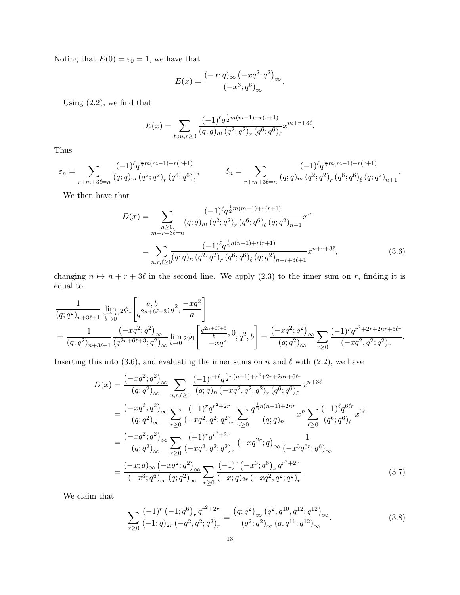Noting that  $E(0) = \varepsilon_0 = 1$ , we have that

$$
E(x) = \frac{(-x;q)_{\infty}(-xq^2;q^2)_{\infty}}{(-x^3;q^6)_{\infty}}.
$$

Using (2.2), we find that

$$
E(x) = \sum_{\ell,m,r \ge 0} \frac{(-1)^{\ell} q^{\frac{1}{2}m(m-1) + r(r+1)}}{(q;q)_m (q^2;q^2)_r (q^6;q^6)_\ell} x^{m+r+3\ell}.
$$

Thus

$$
\varepsilon_n = \sum_{r+m+3\ell=n} \frac{(-1)^{\ell} q^{\frac{1}{2}m(m-1)+r(r+1)}}{(q;q)_m (q^2;q^2)_r (q^6;q^6)_{\ell}}, \qquad \delta_n = \sum_{r+m+3\ell=n} \frac{(-1)^{\ell} q^{\frac{1}{2}m(m-1)+r(r+1)}}{(q;q)_m (q^2;q^2)_r (q^6;q^6)_{\ell} (q;q^2)_{n+1}}.
$$

We then have that

$$
D(x) = \sum_{\substack{n \geq 0, \\ m+r+3\ell=n}} \frac{(-1)^{\ell} q^{\frac{1}{2}m(m-1)+r(r+1)}}{(q;q)_m (q^2;q^2)_r (q^6;q^6)_\ell (q;q^2)_{n+1}} x^n
$$

$$
= \sum_{n,r,\ell \geq 0} \frac{(-1)^{\ell} q^{\frac{1}{2}n(n-1)+r(r+1)}}{(q;q)_n (q^2;q^2)_r (q^6;q^6)_\ell (q;q^2)_{n+r+3\ell+1}} x^{n+r+3\ell}, \tag{3.6}
$$

changing  $n \mapsto n + r + 3\ell$  in the second line. We apply (2.3) to the inner sum on r, finding it is equal to

$$
\begin{split} &\frac{1}{(q;q^2)_{n+3\ell+1}}\lim_{\substack{a\to\infty\\ b\to 0}}2\phi_1\Bigg[q^{2n+6\ell+3};q^2,-\frac{xq^2}{a}\Bigg]\\ &=\frac{1}{(q;q^2)_{n+3\ell+1}}\frac{\left(-xq^2;q^2\right)_{\infty}}{(q^{2n+6\ell+3};q^2)_{\infty}}\lim_{b\to 0}2\phi_1\Bigg[\frac{q^{2n+6\ell+3}}{-xq^2},0;q^2,b\Bigg]=\frac{\left(-xq^2;q^2\right)_{\infty}}{(q;q^2)_{\infty}}\sum_{r\geq 0}\frac{(-1)^rq^{r^2+2r+2nr+6\ell r}}{(-xq^2,q^2;q^2)_r}. \end{split}
$$

Inserting this into (3.6), and evaluating the inner sums on n and  $\ell$  with (2.2), we have

$$
D(x) = \frac{(-xq^2;q^2)_{\infty}}{(q;q^2)_{\infty}} \sum_{n,r,\ell \geq 0} \frac{(-1)^{r+\ell} q^{\frac{1}{2}n(n-1)+r^2+2r+2nr+6\ell r}}{(q;q^2)_{\infty}} x^{n+3\ell}
$$
  
\n
$$
= \frac{(-xq^2;q^2)_{\infty}}{(q;q^2)_{\infty}} \sum_{r\geq 0} \frac{(-1)^r q^{r^2+2r}}{(-xq^2,q^2;q^2)_r} \sum_{n\geq 0} \frac{q^{\frac{1}{2}n(n-1)+2nr}}{(q;q)_n} x^n \sum_{\ell \geq 0} \frac{(-1)^{\ell} q^{6\ell r}}{(q^6;q^6)_{\ell}} x^{3\ell}
$$
  
\n
$$
= \frac{(-xq^2;q^2)_{\infty}}{(q;q^2)_{\infty}} \sum_{r\geq 0} \frac{(-1)^r q^{r^2+2r}}{(-xq^2,q^2;q^2)_r} (-xq^{2r};q)_{\infty} \frac{1}{(-x^3q^{6r};q^6)_{\infty}}
$$
  
\n
$$
= \frac{(-x;q)_{\infty} (-xq^2;q^2)_{\infty}}{(-x^3;q^6)_{\infty} (q;q^2)_{\infty}} \sum_{r\geq 0} \frac{(-1)^r (-x^3;q^6)_r q^{r^2+2r}}{(-x;q)_{2r} (-xq^2,q^2;q^2)_r}.
$$
 (3.7)

We claim that

$$
\sum_{r\geq 0} \frac{(-1)^r (-1;q^6)_r q^{r^2+2r}}{(-1;q)_{2r} (-q^2,q^2;q^2)_r} = \frac{(q;q^2)_{\infty} (q^2,q^{10},q^{12};q^{12})_{\infty}}{(q^2;q^2)_{\infty} (q,q^{11};q^{12})_{\infty}}.
$$
\n(3.8)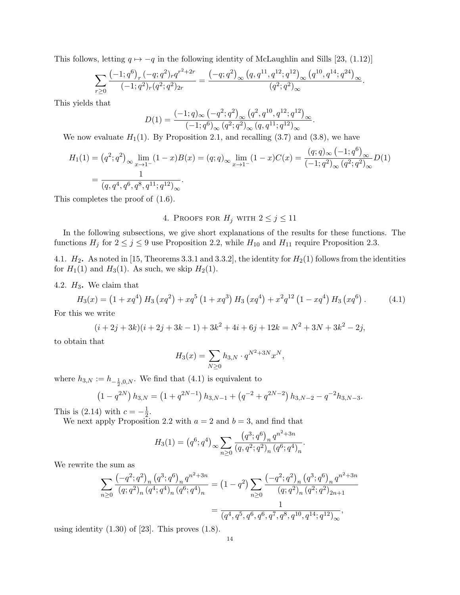This follows, letting  $q \mapsto -q$  in the following identity of McLaughlin and Sills [23, (1.12)]

$$
\sum_{r\geq 0} \frac{(-1;q^6)_r (-q;q^2)_r q^{r^2+2r}}{(-1;q^2)_r (q^2;q^2)_{2r}} = \frac{(-q;q^2)_{\infty} (q,q^{11},q^{12};q^{12})_{\infty} (q^{10},q^{14};q^{24})_{\infty}}{(q^2;q^2)_{\infty}}.
$$

This yields that

$$
D(1) = \frac{(-1;q)_{\infty} ( -q^2;q^2 )_{\infty} (q^2,q^{10},q^{12};q^{12})_{\infty} }{(-1;q^6)_{\infty} (q^2;q^2)_{\infty} (q,q^{11};q^{12})_{\infty}}.
$$

We now evaluate  $H_1(1)$ . By Proposition 2.1, and recalling (3.7) and (3.8), we have

$$
H_1(1) = (q^2; q^2)_{\infty} \lim_{x \to 1^-} (1 - x)B(x) = (q; q)_{\infty} \lim_{x \to 1^-} (1 - x)C(x) = \frac{(q; q)_{\infty} (-1; q^6)_{\infty}}{(-1; q^2)_{\infty} (q^2; q^2)_{\infty}} D(1)
$$
  
= 
$$
\frac{1}{(q, q^4, q^6, q^8, q^{11}; q^{12})_{\infty}}.
$$

This completes the proof of (1.6).

# 4. PROOFS FOR  $H_j$  with  $2 \le j \le 11$

In the following subsections, we give short explanations of the results for these functions. The functions  $H_j$  for  $2 \le j \le 9$  use Proposition 2.2, while  $H_{10}$  and  $H_{11}$  require Proposition 2.3.

4.1.  $H_2$ . As noted in [15, Theorems 3.3.1 and 3.3.2], the identity for  $H_2(1)$  follows from the identities for  $H_1(1)$  and  $H_3(1)$ . As such, we skip  $H_2(1)$ .

4.2.  $H_3$ . We claim that

$$
H_3(x) = (1 + xq^4) H_3(xq^2) + xq^5 (1 + xq^3) H_3(xq^4) + x^2q^{12} (1 - xq^4) H_3(xq^6).
$$
 (4.1)

For this we write

$$
(i + 2j + 3k)(i + 2j + 3k - 1) + 3k2 + 4i + 6j + 12k = N2 + 3N + 3k2 - 2j,
$$

to obtain that

$$
H_3(x) = \sum_{N \ge 0} h_{3,N} \cdot q^{N^2 + 3N} x^N,
$$

where  $h_{3,N} := h_{-\frac{1}{2},0,N}$ . We find that  $(4.1)$  is equivalent to

$$
(1 - q^{2N}) h_{3,N} = (1 + q^{2N-1}) h_{3,N-1} + (q^{-2} + q^{2N-2}) h_{3,N-2} - q^{-2} h_{3,N-3}.
$$

This is  $(2.14)$  with  $c=-\frac{1}{2}$  $\frac{1}{2}$ .

We next apply Proposition 2.2 with  $a = 2$  and  $b = 3$ , and find that

$$
H_3(1) = (q^6; q^4)_{\infty} \sum_{n \ge 0} \frac{(q^3; q^6)_n q^{n^2 + 3n}}{(q, q^2; q^2)_n (q^6; q^4)_n}.
$$

We rewrite the sum as

$$
\sum_{n\geq 0} \frac{\left(-q^2;q^2\right)_n (q^3;q^6)_n q^{n^2+3n}}{(q;q^2)_n (q^4;q^4)_n (q^6;q^4)_n} = (1-q^2) \sum_{n\geq 0} \frac{\left(-q^2;q^2\right)_n (q^3;q^6)_n q^{n^2+3n}}{(q;q^2)_n (q^2;q^2)_{2n+1}} = \frac{1}{(q^4,q^5,q^6,q^7,q^8,q^{10},q^{14};q^{12})_\infty},
$$

using identity  $(1.30)$  of  $[23]$ . This proves  $(1.8)$ .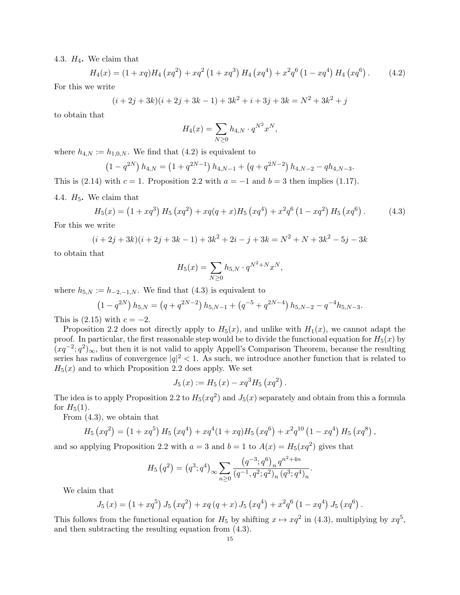4.3.  $H_4$ . We claim that

$$
H_4(x) = (1 + xq)H_4\left(xq^2\right) + xq^2\left(1 + xq^3\right)H_4\left(xq^4\right) + x^2q^6\left(1 - xq^4\right)H_4\left(xq^6\right). \tag{4.2}
$$

For this we write

$$
(i + 2j + 3k)(i + 2j + 3k - 1) + 3k2 + i + 3j + 3k = N2 + 3k2 + j
$$

to obtain that

$$
H_4(x) = \sum_{N \ge 0} h_{4,N} \cdot q^{N^2} x^N,
$$

where  $h_{4,N} := h_{1,0,N}$ . We find that  $(4.2)$  is equivalent to

$$
(1 - q^{2N}) h_{4,N} = (1 + q^{2N-1}) h_{4,N-1} + (q + q^{2N-2}) h_{4,N-2} - q h_{4,N-3}.
$$

This is (2.14) with  $c = 1$ . Proposition 2.2 with  $a = -1$  and  $b = 3$  then implies (1.17).

4.4.  $H_5$ . We claim that

$$
H_5(x) = (1 + xq^3) H_5(xq^2) + xq(q+x)H_5(xq^4) + x^2q^6 (1 - xq^2) H_5(xq^6).
$$
 (4.3)

For this we write

$$
(i + 2j + 3k)(i + 2j + 3k - 1) + 3k^2 + 2i - j + 3k = N^2 + N + 3k^2 - 5j - 3k
$$

to obtain that

$$
H_5(x) = \sum_{N \ge 0} h_{5,N} \cdot q^{N^2 + N} x^N,
$$

where  $h_{5,N} := h_{-2,-1,N}$ . We find that (4.3) is equivalent to

$$
(1 - q^{2N}) h_{5,N} = (q + q^{2N-2}) h_{5,N-1} + (q^{-5} + q^{2N-4}) h_{5,N-2} - q^{-4} h_{5,N-3}.
$$

This is  $(2.15)$  with  $c = -2$ .

Proposition 2.2 does not directly apply to  $H_5(x)$ , and unlike with  $H_1(x)$ , we cannot adapt the proof. In particular, the first reasonable step would be to divide the functional equation for  $H_5(x)$  by  $(xq^{-2}; q^2)_{\infty}$ , but then it is not valid to apply Appell's Comparison Theorem, because the resulting series has radius of convergence  $|q|^2 < 1$ . As such, we introduce another function that is related to  $H_5(x)$  and to which Proposition 2.2 does apply. We set

$$
J_5(x) := H_5(x) - xq^3 H_5(xq^2).
$$

The idea is to apply Proposition 2.2 to  $H_5(xq^2)$  and  $J_5(x)$  separately and obtain from this a formula for  $H_5(1)$ .

From (4.3), we obtain that

$$
H_5\left(xq^2\right) = \left(1+xq^5\right)H_5\left(xq^4\right) + xq^4(1+xq)H_5\left(xq^6\right) + x^2q^{10}\left(1-xq^4\right)H_5\left(xq^8\right),
$$

and so applying Proposition 2.2 with  $a = 3$  and  $b = 1$  to  $A(x) = H_5(xq^2)$  gives that

$$
H_5(q^2) = (q^3; q^4)_{\infty} \sum_{n \ge 0} \frac{(q^{-3}; q^6)_n q^{n^2 + 4n}}{(q^{-1}, q^2; q^2)_n (q^3; q^4)_n}.
$$

We claim that

$$
J_5(x) = (1 + xq^{5}) J_5(xq^{2}) + xq (q + x) J_5(xq^{4}) + x^{2}q^{6} (1 - xq^{4}) J_5(xq^{6}).
$$

This follows from the functional equation for  $H_5$  by shifting  $x \mapsto xq^2$  in (4.3), multiplying by  $xq^5$ , and then subtracting the resulting equation from (4.3).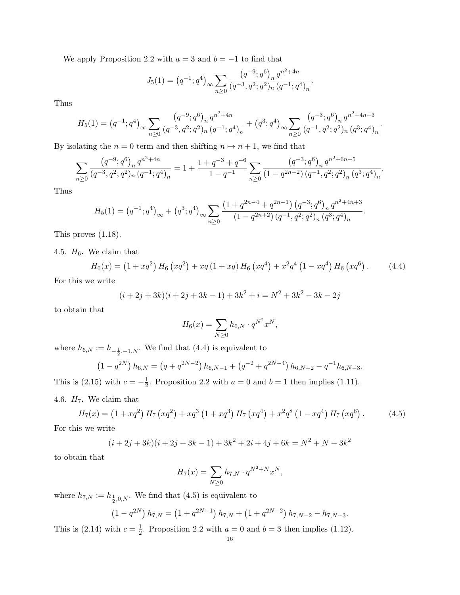We apply Proposition 2.2 with  $a = 3$  and  $b = -1$  to find that

$$
J_5(1) = (q^{-1}; q^4)_{\infty} \sum_{n \ge 0} \frac{(q^{-9}; q^6)_n q^{n^2 + 4n}}{(q^{-3}, q^2; q^2)_n (q^{-1}; q^4)_n}.
$$

Thus

$$
H_5(1) = (q^{-1}; q^4)_{\infty} \sum_{n \ge 0} \frac{(q^{-9}; q^6)_n q^{n^2 + 4n}}{(q^{-3}, q^2; q^2)_n (q^{-1}; q^4)_n} + (q^3; q^4)_{\infty} \sum_{n \ge 0} \frac{(q^{-3}; q^6)_n q^{n^2 + 4n + 3}}{(q^{-1}, q^2; q^2)_n (q^3; q^4)_n}.
$$

By isolating the  $n = 0$  term and then shifting  $n \mapsto n + 1$ , we find that

$$
\sum_{n\geq 0} \frac{\left(q^{-9};q^{6}\right)_{n} q^{n^{2}+4n}}{\left(q^{-3},q^{2};q^{2}\right)_{n} \left(q^{-1};q^{4}\right)_{n}} = 1 + \frac{1+q^{-3}+q^{-6}}{1-q^{-1}} \sum_{n\geq 0} \frac{\left(q^{-3};q^{6}\right)_{n} q^{n^{2}+6n+5}}{\left(1-q^{2n+2}\right) \left(q^{-1},q^{2};q^{2}\right)_{n} \left(q^{3};q^{4}\right)_{n}},
$$

Thus

$$
H_5(1) = (q^{-1}; q^4)_{\infty} + (q^3; q^4)_{\infty} \sum_{n \ge 0} \frac{\left(1 + q^{2n-4} + q^{2n-1}\right) \left(q^{-3}; q^6\right)_n q^{n^2 + 4n + 3}}{\left(1 - q^{2n+2}\right) \left(q^{-1}, q^2; q^2\right)_n \left(q^3; q^4\right)_n}.
$$

This proves (1.18).

4.5.  $H_6$ . We claim that

$$
H_6(x) = (1 + xq^2) H_6(xq^2) + xq(1 + xq) H_6(xq^4) + x^2q^4(1 - xq^4) H_6(xq^6).
$$
 (4.4)

For this we write

$$
(i + 2j + 3k)(i + 2j + 3k - 1) + 3k2 + i = N2 + 3k2 - 3k - 2j
$$

to obtain that

$$
H_6(x) = \sum_{N \ge 0} h_{6,N} \cdot q^{N^2} x^N,
$$

where  $h_{6,N} := h_{-\frac{1}{2},-1,N}$ . We find that (4.4) is equivalent to

$$
(1 - q^{2N}) h_{6,N} = (q + q^{2N-2}) h_{6,N-1} + (q^{-2} + q^{2N-4}) h_{6,N-2} - q^{-1} h_{6,N-3}.
$$

This is  $(2.15)$  with  $c=-\frac{1}{2}$  $\frac{1}{2}$ . Proposition 2.2 with  $a = 0$  and  $b = 1$  then implies (1.11).

4.6.  $H_7$ . We claim that

$$
H_7(x) = (1 + xq^2) H_7(xq^2) + xq^3 (1 + xq^3) H_7(xq^4) + x^2q^8 (1 - xq^4) H_7(xq^6).
$$
 (4.5)

For this we write

$$
(i + 2j + 3k)(i + 2j + 3k - 1) + 3k2 + 2i + 4j + 6k = N2 + N + 3k2
$$

to obtain that

$$
H_7(x) = \sum_{N \ge 0} h_{7,N} \cdot q^{N^2 + N} x^N,
$$

where  $h_{7,N} := h_{\frac{1}{2},0,N}$ . We find that (4.5) is equivalent to

$$
(1 - q^{2N}) h_{7,N} = (1 + q^{2N-1}) h_{7,N} + (1 + q^{2N-2}) h_{7,N-2} - h_{7,N-3}.
$$

This is  $(2.14)$  with  $c=\frac{1}{2}$  $\frac{1}{2}$ . Proposition 2.2 with  $a = 0$  and  $b = 3$  then implies (1.12).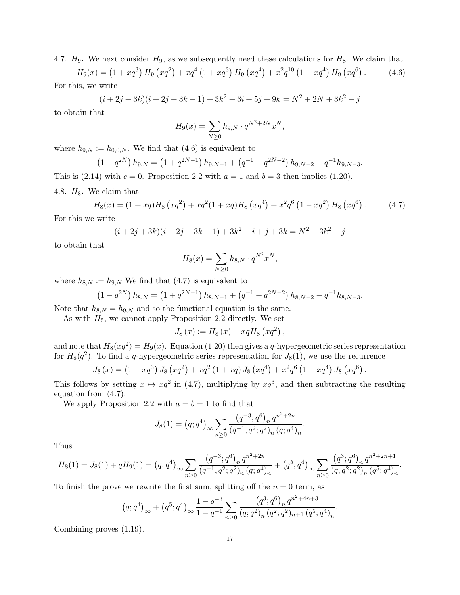4.7.  $H_9$ . We next consider  $H_9$ , as we subsequently need these calculations for  $H_8$ . We claim that

 $H_9(x) = (1+xq^3) H_9(xq^2) + xq^4 (1+xq^3) H_9(xq^4) + x^2q^{10} (1-xq^4) H_9(xq^6)$  $(4.6)$ For this, we write

$$
(i + 2j + 3k)(i + 2j + 3k - 1) + 3k^2 + 3i + 5j + 9k = N^2 + 2N + 3k^2 - j
$$

to obtain that

$$
H_9(x) = \sum_{N \ge 0} h_{9,N} \cdot q^{N^2 + 2N} x^N,
$$

where  $h_{9,N} := h_{0,0,N}$ . We find that (4.6) is equivalent to

$$
(1 - q^{2N}) h_{9,N} = (1 + q^{2N-1}) h_{9,N-1} + (q^{-1} + q^{2N-2}) h_{9,N-2} - q^{-1} h_{9,N-3}.
$$

This is  $(2.14)$  with  $c = 0$ . Proposition 2.2 with  $a = 1$  and  $b = 3$  then implies  $(1.20)$ .

4.8.  $H_8$ . We claim that

$$
H_8(x) = (1 + xq)H_8\left(xq^2\right) + xq^2(1 + xq)H_8\left(xq^4\right) + x^2q^6\left(1 - xq^2\right)H_8\left(xq^6\right). \tag{4.7}
$$

For this we write

$$
(i + 2j + 3k)(i + 2j + 3k - 1) + 3k2 + i + j + 3k = N2 + 3k2 - j
$$

to obtain that

$$
H_8(x) = \sum_{N \ge 0} h_{8,N} \cdot q^{N^2} x^N,
$$

where  $h_{8,N} := h_{9,N}$  We find that (4.7) is equivalent to

$$
(1 - q^{2N}) h_{8,N} = (1 + q^{2N-1}) h_{8,N-1} + (q^{-1} + q^{2N-2}) h_{8,N-2} - q^{-1} h_{8,N-3}.
$$

Note that  $h_{8,N} = h_{9,N}$  and so the functional equation is the same.

As with  $H_5$ , we cannot apply Proposition 2.2 directly. We set

$$
J_{8}(x) := H_{8}(x) - xqH_{8}(xq^{2}),
$$

and note that  $H_8(xq^2) = H_9(x)$ . Equation (1.20) then gives a q-hypergeometric series representation for  $H_8(q^2)$ . To find a q-hypergeometric series representation for  $J_8(1)$ , we use the recurrence

$$
J_8(x) = (1 + xq^3) J_8(xq^2) + xq^2 (1 + xq) J_8(xq^4) + x^2q^6 (1 - xq^4) J_8(xq^6).
$$

This follows by setting  $x \mapsto xq^2$  in (4.7), multiplying by  $xq^3$ , and then subtracting the resulting equation from (4.7).

We apply Proposition 2.2 with  $a = b = 1$  to find that

$$
J_8(1) = (q;q^4)_{\infty} \sum_{n\geq 0} \frac{\left(q^{-3};q^6\right)_n q^{n^2+2n}}{\left(q^{-1},q^2;q^2\right)_n (q;q^4)_n}
$$

.

Thus

$$
H_8(1) = J_8(1) + qH_9(1) = (q;q^4)_{\infty} \sum_{n\geq 0} \frac{\left(q^{-3};q^6\right)_n q^{n^2+2n}}{\left(q^{-1},q^2;q^2\right)_n \left(q;q^4\right)_n} + \left(q^5;q^4\right)_{\infty} \sum_{n\geq 0} \frac{\left(q^3;q^6\right)_n q^{n^2+2n+1}}{\left(q,q^2;q^2\right)_n \left(q^5;q^4\right)_n}.
$$

To finish the prove we rewrite the first sum, splitting off the  $n = 0$  term, as

$$
(q;q^4)_{\infty} + (q^5;q^4)_{\infty} \frac{1-q^{-3}}{1-q^{-1}} \sum_{n\geq 0} \frac{(q^3;q^6)_n q^{n^2+4n+3}}{(q;q^2)_n (q^2;q^2)_{n+1} (q^5;q^4)_n}.
$$

Combining proves (1.19).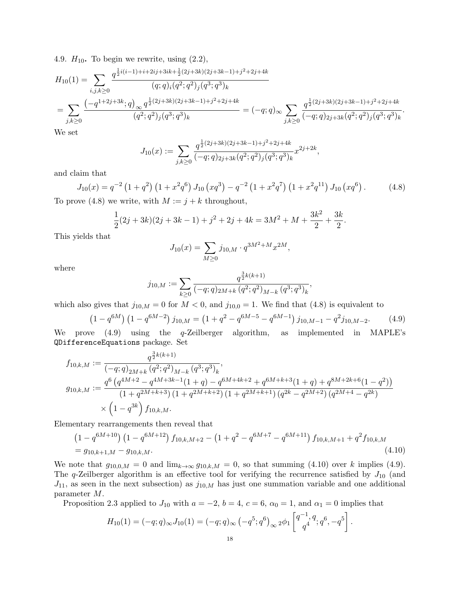4.9.  $H_{10}$ . To begin we rewrite, using  $(2.2)$ ,

$$
H_{10}(1) = \sum_{i,j,k \ge 0} \frac{q^{\frac{1}{2}i(i-1)+i+2ij+3ik+\frac{1}{2}(2j+3k)(2j+3k-1)+j^2+2j+4k}}{(q;q)_i (q^2;q^2)_j (q^3;q^3)_k}
$$
  
= 
$$
\sum_{j,k \ge 0} \frac{(-q^{1+2j+3k};q)_{\infty} q^{\frac{1}{2}(2j+3k)(2j+3k-1)+j^2+2j+4k}}{(q^2;q^2)_j (q^3;q^3)_k} = (-q;q)_{\infty} \sum_{j,k \ge 0} \frac{q^{\frac{1}{2}(2j+3k)(2j+3k-1)+j^2+2j+4k}}{(-q;q)_{2j+3k} (q^2;q^2)_j (q^3;q^3)_k}.
$$

We set

$$
J_{10}(x) := \sum_{j,k \ge 0} \frac{q^{\frac{1}{2}(2j+3k)(2j+3k-1)+j^2+2j+4k}}{(-q;q)_{2j+3k}(q^2;q^2)_j (q^3;q^3)_k} x^{2j+2k},
$$

and claim that

$$
J_{10}(x) = q^{-2} \left(1 + q^2\right) \left(1 + x^2 q^6\right) J_{10}\left(xq^3\right) - q^{-2} \left(1 + x^2 q^7\right) \left(1 + x^2 q^{11}\right) J_{10}\left(xq^6\right). \tag{4.8}
$$

To prove (4.8) we write, with  $M := j + k$  throughout,

$$
\frac{1}{2}(2j+3k)(2j+3k-1)+j^2+2j+4k=3M^2+M+\frac{3k^2}{2}+\frac{3k}{2}.
$$

This yields that

$$
J_{10}(x) = \sum_{M \ge 0} j_{10,M} \cdot q^{3M^2 + M} x^{2M},
$$

where

$$
j_{10,M} := \sum_{k \geq 0} \frac{q^{\frac{3}{2}k(k+1)}}{(-q;q)_{2M+k} (q^2;q^2)_{M-k} (q^3;q^3)_k},
$$

which also gives that  $j_{10,M} = 0$  for  $M < 0$ , and  $j_{10,0} = 1$ . We find that (4.8) is equivalent to

$$
\left(1 - q^{6M}\right)\left(1 - q^{6M-2}\right)j_{10,M} = \left(1 + q^2 - q^{6M-5} - q^{6M-1}\right)j_{10,M-1} - q^2j_{10,M-2}.\tag{4.9}
$$

We prove (4.9) using the q-Zeilberger algorithm, as implemented in MAPLE's QDifferenceEquations package. Set

$$
f_{10,k,M} := \frac{q^{\frac{3}{2}k(k+1)}}{(-q;q)_{2M+k} (q^2;q^2)_{M-k} (q^3;q^3)_k},
$$
  
\n
$$
g_{10,k,M} := \frac{q^6 (q^{4M+2} - q^{4M+3k-1}(1+q) - q^{6M+4k+2} + q^{6M+k+3}(1+q) + q^{8M+2k+6}(1-q^2))}{(1+q^{2M+k+3})(1+q^{2M+k+2})(1+q^{2M+k+1})(q^{2k} - q^{2M+2})(q^{2M+4} - q^{2k})}
$$
  
\n
$$
\times \left(1-q^{3k}\right) f_{10,k,M}.
$$

Elementary rearrangements then reveal that

$$
\left(1 - q^{6M+10}\right) \left(1 - q^{6M+12}\right) f_{10,k,M+2} - \left(1 + q^2 - q^{6M+7} - q^{6M+11}\right) f_{10,k,M+1} + q^2 f_{10,k,M}
$$
\n
$$
= g_{10,k+1,M} - g_{10,k,M}.\tag{4.10}
$$

We note that  $g_{10,0,M} = 0$  and  $\lim_{k\to\infty} g_{10,k,M} = 0$ , so that summing (4.10) over k implies (4.9). The q-Zeilberger algorithm is an effective tool for verifying the recurrence satisfied by  $J_{10}$  (and  $J_{11}$ , as seen in the next subsection) as  $j_{10,M}$  has just one summation variable and one additional parameter M.

Proposition 2.3 applied to  $J_{10}$  with  $a = -2$ ,  $b = 4$ ,  $c = 6$ ,  $\alpha_0 = 1$ , and  $\alpha_1 = 0$  implies that

$$
H_{10}(1) = (-q;q)_{\infty} J_{10}(1) = (-q;q)_{\infty} (-q^5;q^6)_{\infty} 2\phi_1 \left[ \frac{q^{-1},q}{q^4};q^6,-q^5 \right].
$$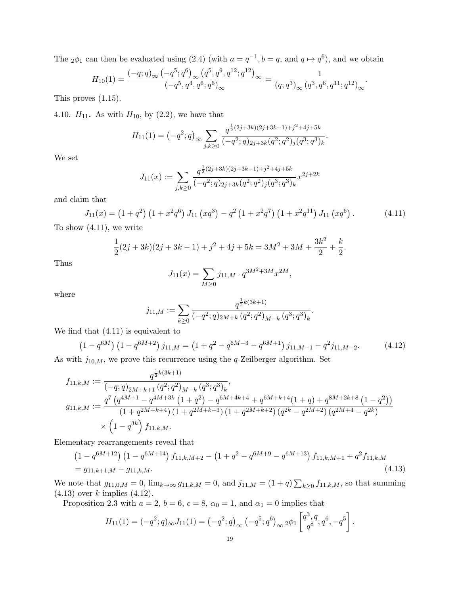The  $_2\phi_1$  can then be evaluated using (2.4) (with  $a = q^{-1}, b = q$ , and  $q \mapsto q^6$ ), and we obtain

$$
H_{10}(1) = \frac{(-q;q)_{\infty} (-q^5;q^6)_{\infty} (q^5,q^9,q^{12};q^{12})_{\infty}}{(-q^5,q^4,q^6;q^6)_{\infty}} = \frac{1}{(q;q^3)_{\infty} (q^3,q^6,q^{11};q^{12})_{\infty}}.
$$

This proves (1.15).

4.10.  $H_{11}$ . As with  $H_{10}$ , by (2.2), we have that

$$
H_{11}(1) = \left(-q^2; q\right)_{\infty} \sum_{j,k \ge 0} \frac{q^{\frac{1}{2}(2j+3k)(2j+3k-1)+j^2+4j+5k}}{\left(-q^2; q\right)_{2j+3k} (q^2; q^2)_j (q^3; q^3)_k}.
$$

We set

$$
J_{11}(x) := \sum_{j,k \ge 0} \frac{q^{\frac{1}{2}(2j+3k)(2j+3k-1)+j^2+4j+5k}}{(-q^2;q)_{2j+3k}(q^2;q^2)_j (q^3;q^3)_k} x^{2j+2k}
$$

and claim that

$$
J_{11}(x) = (1+q^2) (1+x^2q^6) J_{11}(xq^3) - q^2 (1+x^2q^7) (1+x^2q^{11}) J_{11}(xq^6).
$$
 (4.11)

To show (4.11), we write

$$
\frac{1}{2}(2j+3k)(2j+3k-1)+j^2+4j+5k=3M^2+3M+\frac{3k^2}{2}+\frac{k}{2}.
$$

Thus

$$
J_{11}(x) = \sum_{M \ge 0} j_{11,M} \cdot q^{3M^2 + 3M} x^{2M},
$$

where

$$
j_{11,M} := \sum_{k \geq 0} \frac{q^{\frac{1}{2}k(3k+1)}}{(-q^2;q)_{2M+k} (q^2;q^2)_{M-k} (q^3;q^3)_k}.
$$

We find that (4.11) is equivalent to

$$
(1 - q^{6M}) (1 - q^{6M+2}) j_{11,M} = (1 + q^2 - q^{6M-3} - q^{6M+1}) j_{11,M-1} - q^2 j_{11,M-2}.
$$
 (4.12)

As with  $j_{10,M}$ , we prove this recurrence using the q-Zeilberger algorithm. Set

$$
f_{11,k,M} := \frac{q^{\frac{1}{2}k(3k+1)}}{(-q;q)_{2M+k+1} (q^2;q^2)_{M-k} (q^3;q^3)_k},
$$
  
\n
$$
g_{11,k,M} := \frac{q^7 (q^{4M+1} - q^{4M+3k} (1+q^2) - q^{6M+4k+4} + q^{6M+k+4}(1+q) + q^{8M+2k+8} (1-q^2))}{(1+q^{2M+k+4}) (1+q^{2M+k+3}) (1+q^{2M+k+2}) (q^{2k} - q^{2M+2}) (q^{2M+4} - q^{2k})}
$$
  
\n
$$
\times (1-q^{3k}) f_{11,k,M}.
$$

Elementary rearrangements reveal that

$$
\left(1 - q^{6M+12}\right) \left(1 - q^{6M+14}\right) f_{11,k,M+2} - \left(1 + q^2 - q^{6M+9} - q^{6M+13}\right) f_{11,k,M+1} + q^2 f_{11,k,M} \n= g_{11,k+1,M} - g_{11,k,M}.
$$
\n(4.13)

We note that  $g_{11,0,M} = 0$ ,  $\lim_{k \to \infty} g_{11,k,M} = 0$ , and  $j_{11,M} = (1+q) \sum_{k \geq 0} f_{11,k,M}$ , so that summing  $(4.13)$  over k implies  $(4.12)$ .

Proposition 2.3 with  $a = 2$ ,  $b = 6$ ,  $c = 8$ ,  $\alpha_0 = 1$ , and  $\alpha_1 = 0$  implies that

$$
H_{11}(1) = (-q^2; q)_{\infty} J_{11}(1) = (-q^2; q)_{\infty} (-q^5; q^6)_{\infty} 2\phi_1 \begin{bmatrix} q^3, q, q^6, -q^5 \\ q^8 \end{bmatrix}.
$$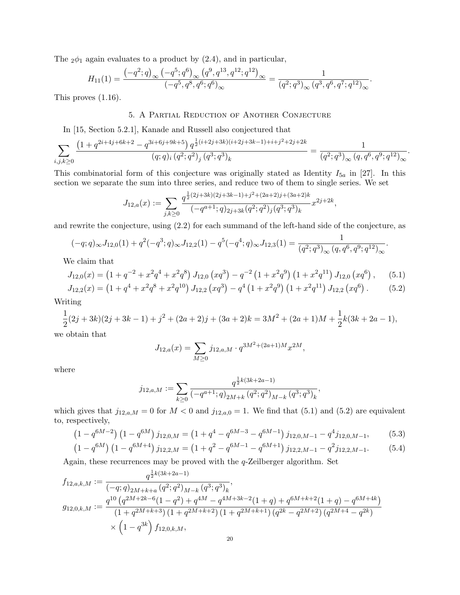The  $2\phi_1$  again evaluates to a product by  $(2.4)$ , and in particular,

$$
H_{11}(1) = \frac{\left(-q^2; q\right)_{\infty} \left(-q^5; q^6\right)_{\infty} \left(q^9, q^{13}, q^{12}; q^{12}\right)_{\infty}}{\left(-q^5, q^8, q^6; q^6\right)_{\infty}} = \frac{1}{\left(q^2; q^3\right)_{\infty} \left(q^3, q^6, q^7; q^{12}\right)_{\infty}}.
$$

This proves (1.16).

## 5. A Partial Reduction of Another Conjecture

In [15, Section 5.2.1], Kanade and Russell also conjectured that

$$
\sum_{i,j,k\geq 0} \frac{\left(1+q^{2i+4j+6k+2}-q^{3i+6j+9k+5}\right) q^{\frac{1}{2}(i+2j+3k)(i+2j+3k-1)+i+j^2+2j+2k}}{(q;q)_i \left(q^2;q^2\right)_j \left(q^3;q^3\right)_k} = \frac{1}{(q^2;q^3)_{\infty} \left(q,q^6,q^9;q^{12}\right)_{\infty}}.
$$

This combinatorial form of this conjecture was originally stated as Identity  $I_{5a}$  in [27]. In this section we separate the sum into three series, and reduce two of them to single series. We set

$$
J_{12,a}(x) := \sum_{j,k \ge 0} \frac{q^{\frac{1}{2}(2j+3k)(2j+3k-1)+j^2+(2a+2)j+(3a+2)k}}{(-q^{a+1};q)_{2j+3k}(q^2;q^2)_j(q^3;q^3)_k} x^{2j+2k},
$$

and rewrite the conjecture, using (2.2) for each summand of the left-hand side of the conjecture, as

$$
(-q;q)_{\infty}J_{12,0}(1) + q^2(-q^3;q)_{\infty}J_{12,2}(1) - q^5(-q^4;q)_{\infty}J_{12,3}(1) = \frac{1}{(q^2;q^3)_{\infty}(q,q^6,q^9;q^{12})_{\infty}}.
$$

We claim that

$$
J_{12,0}(x) = \left(1 + q^{-2} + x^2 q^4 + x^2 q^8\right) J_{12,0}\left(xq^3\right) - q^{-2} \left(1 + x^2 q^9\right) \left(1 + x^2 q^{11}\right) J_{12,0}\left(xq^6\right),\tag{5.1}
$$

$$
J_{12,2}(x) = \left(1 + q^4 + x^2 q^8 + x^2 q^{10}\right) J_{12,2}\left(xq^3\right) - q^4 \left(1 + x^2 q^9\right) \left(1 + x^2 q^{11}\right) J_{12,2}\left(xq^6\right). \tag{5.2}
$$

Writing

$$
\frac{1}{2}(2j+3k)(2j+3k-1)+j^2+(2a+2)j+(3a+2)k=3M^2+(2a+1)M+\frac{1}{2}k(3k+2a-1),
$$

we obtain that

$$
J_{12,a}(x) = \sum_{M \ge 0} j_{12,a,M} \cdot q^{3M^2 + (2a+1)M} x^{2M},
$$

where

$$
j_{12,a,M} := \sum_{k \geq 0} \frac{q^{\frac{1}{2}k(3k+2a-1)}}{(-q^{a+1};q)_{2M+k} (q^2;q^2)_{M-k} (q^3;q^3)_k},
$$

which gives that  $j_{12,a,M} = 0$  for  $M < 0$  and  $j_{12,a,0} = 1$ . We find that (5.1) and (5.2) are equivalent to, respectively,

$$
\left(1 - q^{6M - 2}\right)\left(1 - q^{6M}\right)j_{12,0,M} = \left(1 + q^4 - q^{6M - 3} - q^{6M - 1}\right)j_{12,0,M-1} - q^4j_{12,0,M-1},\tag{5.3}
$$

$$
(1 - q^{6M}) (1 - q^{6M+4}) j_{12,2,M} = (1 + q^2 - q^{6M-1} - q^{6M+1}) j_{12,2,M-1} - q^2 j_{12,2,M-1}.
$$
 (5.4)

Again, these recurrences may be proved with the q-Zeilberger algorithm. Set

$$
f_{12,a,k,M} := \frac{q^{\frac{1}{2}k(3k+2a-1)}}{(-q;q)_{2M+k+a} (q^2;q^2)_{M-k} (q^3;q^3)_k},
$$
  
\n
$$
g_{12,0,k,M} := \frac{q^{10} (q^{2M+2k-6}(1-q^2) + q^{4M} - q^{4M+3k-2}(1+q) + q^{6M+k+2}(1+q) - q^{6M+4k})}{(1+q^{2M+k+3})(1+q^{2M+k+2})(1+q^{2M+k+1})(q^{2k} - q^{2M+2})(q^{2M+4} - q^{2k})}
$$
  
\n
$$
\times (1-q^{3k}) f_{12,0,k,M},
$$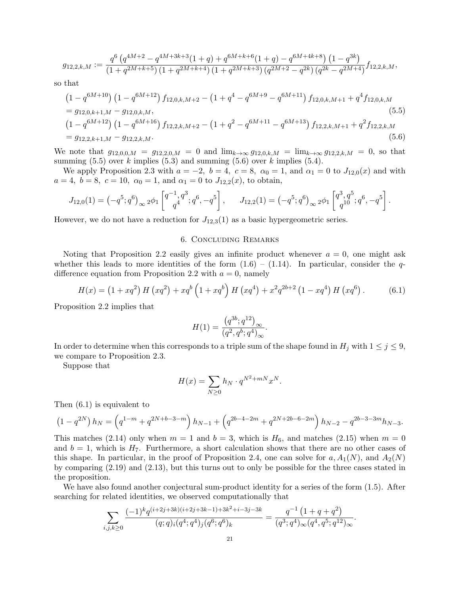$$
g_{12,2,k,M} := \frac{q^6 \left( q^{4M+2} - q^{4M+3k+3} (1+q) + q^{6M+k+6} (1+q) - q^{6M+4k+8} \right) \left( 1 - q^{3k} \right)}{\left( 1 + q^{2M+k+5} \right) \left( 1 + q^{2M+k+4} \right) \left( 1 + q^{2M+k+3} \right) \left( q^{2M+2} - q^{2k} \right) \left( q^{2k} - q^{2M+4} \right)} f_{12,2,k,M},
$$

so that

$$
(1 - q^{6M+10}) (1 - q^{6M+12}) f_{12,0,k,M+2} - (1 + q^4 - q^{6M+9} - q^{6M+11}) f_{12,0,k,M+1} + q^4 f_{12,0,k,M}
$$
  
=  $g_{12,0,k+1,M} - g_{12,0,k,M},$   

$$
(1 - q^{6M+12}) (1 - q^{6M+16}) f_{12,2,k,M+2} - (1 + q^2 - q^{6M+11} - q^{6M+13}) f_{12,2,k,M+1} + q^2 f_{12,2,k,M}
$$
  
=  $g_{12,2,k+1,M} - g_{12,2,k,M}.$   
(5.6)

We note that  $g_{12,0,0,M} = g_{12,2,0,M} = 0$  and  $\lim_{k\to\infty} g_{12,0,k,M} = \lim_{k\to\infty} g_{12,2,k,M} = 0$ , so that summing  $(5.5)$  over k implies  $(5.3)$  and summing  $(5.6)$  over k implies  $(5.4)$ .

We apply Proposition 2.3 with  $a = -2$ ,  $b = 4$ ,  $c = 8$ ,  $\alpha_0 = 1$ , and  $\alpha_1 = 0$  to  $J_{12,0}(x)$  and with  $a = 4, b = 8, c = 10, \alpha_0 = 1, \text{ and } \alpha_1 = 0 \text{ to } J_{12,2}(x), \text{ to obtain,}$ 

$$
J_{12,0}(1) = \left(-q^5; q^6\right)_{\infty} 2\phi_1 \begin{bmatrix} q^{-1}, q^3\\ q^4 \end{bmatrix}; q^6, -q^5\end{bmatrix}, \quad J_{12,2}(1) = \left(-q^5; q^6\right)_{\infty} 2\phi_1 \begin{bmatrix} q^3, q^5\\ q^{10} \end{bmatrix}; q^6, -q^5\end{bmatrix}.
$$

However, we do not have a reduction for  $J_{12,3}(1)$  as a basic hypergeometric series.

#### 6. Concluding Remarks

Noting that Proposition 2.2 easily gives an infinite product whenever  $a = 0$ , one might ask whether this leads to more identities of the form  $(1.6) - (1.14)$ . In particular, consider the qdifference equation from Proposition 2.2 with  $a = 0$ , namely

$$
H(x) = (1 + xq^{2}) H (xq^{2}) + xq^{b} (1 + xq^{b}) H (xq^{4}) + x^{2}q^{2b+2} (1 - xq^{4}) H (xq^{6}).
$$
 (6.1)

Proposition 2.2 implies that

$$
H(1) = \frac{(q^{3b}; q^{12})_{\infty}}{(q^2, q^b; q^4)_{\infty}}.
$$

In order to determine when this corresponds to a triple sum of the shape found in  $H_j$  with  $1 \leq j \leq 9$ , we compare to Proposition 2.3.

Suppose that

$$
H(x) = \sum_{N \ge 0} h_N \cdot q^{N^2 + mN} x^N.
$$

Then (6.1) is equivalent to

$$
(1 - q^{2N}) h_N = \left( q^{1-m} + q^{2N+b-3-m} \right) h_{N-1} + \left( q^{2b-4-2m} + q^{2N+2b-6-2m} \right) h_{N-2} - q^{2b-3-3m} h_{N-3}.
$$

This matches (2.14) only when  $m = 1$  and  $b = 3$ , which is  $H_6$ , and matches (2.15) when  $m = 0$ and  $b = 1$ , which is  $H_7$ . Furthermore, a short calculation shows that there are no other cases of this shape. In particular, in the proof of Proposition 2.4, one can solve for  $a, A_1(N)$ , and  $A_2(N)$ by comparing (2.19) and (2.13), but this turns out to only be possible for the three cases stated in the proposition.

We have also found another conjectural sum-product identity for a series of the form (1.5). After searching for related identities, we observed computationally that

$$
\sum_{i,j,k\geq 0} \frac{(-1)^k q^{(i+2j+3k)(i+2j+3k-1)+3k^2+i-3j-3k}}{(q;q)_i (q^4;q^4)_j (q^6;q^6)_k} = \frac{q^{-1} (1+q+q^2)}{(q^3;q^4)_{\infty} (q^4,q^5;q^{12})_{\infty}}.
$$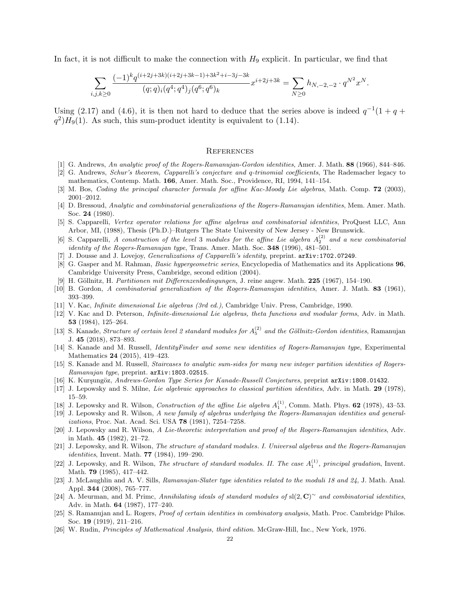In fact, it is not difficult to make the connection with  $H_9$  explicit. In particular, we find that

$$
\sum_{i,j,k\geq 0} \frac{(-1)^k q^{(i+2j+3k)(i+2j+3k-1)+3k^2+i-3j-3k}}{(q;q)_i (q^4;q^4)_j (q^6;q^6)_k} x^{i+2j+3k} = \sum_{N\geq 0} h_{N,-2,-2} \cdot q^{N^2} x^N.
$$

Using (2.17) and (4.6), it is then not hard to deduce that the series above is indeed  $q^{-1}(1+q+$  $q^2)H_9(1)$ . As such, this sum-product identity is equivalent to (1.14).

### **REFERENCES**

- [1] G. Andrews, An analytic proof of the Rogers-Ramanujan-Gordon identities, Amer. J. Math. 88 (1966), 844–846.
- [2] G. Andrews, Schur's theorem, Capparelli's conjecture and q-trinomial coefficients, The Rademacher legacy to mathematics, Contemp. Math. 166, Amer. Math. Soc., Providence, RI, 1994, 141–154.
- [3] M. Bos, Coding the principal character formula for affine Kac-Moody Lie algebras, Math. Comp. 72 (2003), 2001–2012.
- [4] D. Bressoud, Analytic and combinatorial generalizations of the Rogers-Ramanujan identities, Mem. Amer. Math. Soc. 24 (1980).
- [5] S. Capparelli, Vertex operator relations for affine algebras and combinatorial identities, ProQuest LLC, Ann Arbor, MI, (1988), Thesis (Ph.D.)–Rutgers The State University of New Jersey - New Brunswick.
- [6] S. Capparelli, A construction of the level 3 modules for the affine Lie algebra  $A_2^{(2)}$  and a new combinatorial identity of the Rogers-Ramanujan type, Trans. Amer. Math. Soc. 348 (1996), 481-501.
- [7] J. Dousse and J. Lovejoy, *Generalizations of Capparelli's identity*, preprint. arXiv:1702.07249.
- [8] G. Gasper and M. Rahman, Basic hypergeometric series, Encyclopedia of Mathematics and its Applications 96, Cambridge University Press, Cambridge, second edition (2004).
- [9] H. Göllnitz, H. Partitionen mit Differenzenbedingungen, J. reine angew. Math. 225 (1967), 154–190.
- [10] B. Gordon, A combinatorial generalization of the Rogers-Ramanujan identities, Amer. J. Math. 83 (1961), 393–399.
- [11] V. Kac, Infinite dimensional Lie algebras (3rd ed.), Cambridge Univ. Press, Cambridge, 1990.
- [12] V. Kac and D. Peterson, Infinite-dimensional Lie algebras, theta functions and modular forms, Adv. in Math. 53 (1984), 125–264.
- [13] S. Kanade, *Structure of certain level 2 standard modules for*  $A_5^{(2)}$  and the Göllnitz-Gordon identities, Ramanujan J. 45 (2018), 873–893.
- [14] S. Kanade and M. Russell, *IdentityFinder and some new identities of Rogers-Ramanujan type*, Experimental Mathematics 24 (2015), 419–423.
- [15] S. Kanade and M. Russell, Staircases to analytic sum-sides for many new integer partition identities of Rogers-Ramanujan type, preprint. arXiv: 1803.02515.
- [16] K. Kurşungöz, Andrews-Gordon Type Series for Kanade-Russell Conjectures, preprint arXiv:1808.01432.
- [17] J. Lepowsky and S. Milne, Lie algebraic approaches to classical partition identities, Adv. in Math. 29 (1978), 15–59.
- [18] J. Lepowsky and R. Wilson, *Construction of the affine Lie algebra*  $A_1^{(1)}$ , Comm. Math. Phys. **62** (1978), 43–53.
- [19] J. Lepowsky and R. Wilson, A new family of algebras underlying the Rogers-Ramanujan identities and generalizations, Proc. Nat. Acad. Sci. USA 78 (1981), 7254-7258.
- [20] J. Lepowsky and R. Wilson, A Lie-theoretic interpretation and proof of the Rogers-Ramanujan identities, Adv. in Math. 45 (1982), 21–72.
- [21] J. Lepowsky, and R. Wilson, The structure of standard modules. I. Universal algebras and the Rogers-Ramanujan identities, Invent. Math. **77** (1984), 199-290.
- [22] J. Lepowsky, and R. Wilson, *The structure of standard modules. II. The case*  $A_1^{(1)}$ *, principal gradation*, Invent. Math. 79 (1985), 417–442.
- [23] J. McLaughlin and A. V. Sills, Ramanujan-Slater type identities related to the moduli 18 and 24, J. Math. Anal. Appl. 344 (2008), 765–777.
- [24] A. Meurman, and M. Primc, Annihilating ideals of standard modules of sl(2, C)~ and combinatorial identities, Adv. in Math. 64 (1987), 177–240.
- [25] S. Ramanujan and L. Rogers, Proof of certain identities in combinatory analysis, Math. Proc. Cambridge Philos. Soc. 19 (1919), 211–216.
- [26] W. Rudin, Principles of Mathematical Analysis, third edition. McGraw-Hill, Inc., New York, 1976.